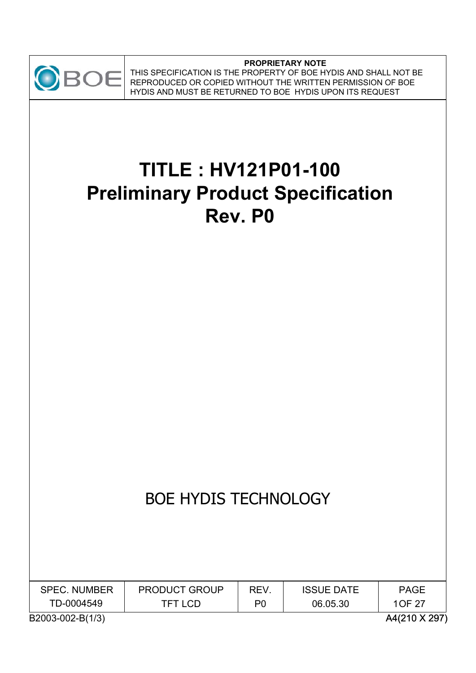

#### **PROPRIETARY NOTE** THIS SPECIFICATION IS THE PROPERTY OF BOE HYDIS AND SHALL NOT BE REPRODUCED OR COPIED WITHOUT THE WRITTEN PERMISSION OF BOE HYDIS AND MUST BE RETURNED TO BOE HYDIS UPON ITS REQUEST

# **TITLE : HV121P01-100 Preliminary Product Specification Rev. P0**

# BOE HYDIS TECHNOLOGY

| <b>SPEC. NUMBER</b> | <b>PRODUCT GROUP</b> | REV.           | <b>ISSUE DATE</b> | <b>PAGE</b>   |
|---------------------|----------------------|----------------|-------------------|---------------|
| TD-0004549          | TFT LCD.             | P <sub>0</sub> | 06.05.30          | 10F 27        |
| B2003-002-B(1/3)    |                      |                |                   | A4(210 X 297) |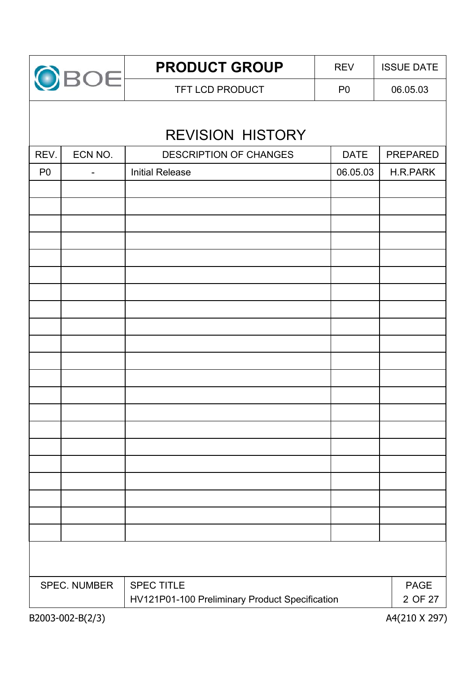

# REVISION HISTORY

| REV.           | ECN NO.                      | DESCRIPTION OF CHANGES                         | <b>DATE</b> | PREPARED    |
|----------------|------------------------------|------------------------------------------------|-------------|-------------|
| P <sub>0</sub> | $\qquad \qquad \blacksquare$ | <b>Initial Release</b>                         | 06.05.03    | H.R.PARK    |
|                |                              |                                                |             |             |
|                |                              |                                                |             |             |
|                |                              |                                                |             |             |
|                |                              |                                                |             |             |
|                |                              |                                                |             |             |
|                |                              |                                                |             |             |
|                |                              |                                                |             |             |
|                |                              |                                                |             |             |
|                |                              |                                                |             |             |
|                |                              |                                                |             |             |
|                |                              |                                                |             |             |
|                |                              |                                                |             |             |
|                |                              |                                                |             |             |
|                |                              |                                                |             |             |
|                |                              |                                                |             |             |
|                |                              |                                                |             |             |
|                |                              |                                                |             |             |
|                |                              |                                                |             |             |
|                |                              |                                                |             |             |
|                |                              |                                                |             |             |
|                |                              |                                                |             |             |
|                |                              |                                                |             |             |
|                | <b>SPEC. NUMBER</b>          | <b>SPEC TITLE</b>                              |             | <b>PAGE</b> |
|                |                              | HV121P01-100 Preliminary Product Specification |             | 2 OF 27     |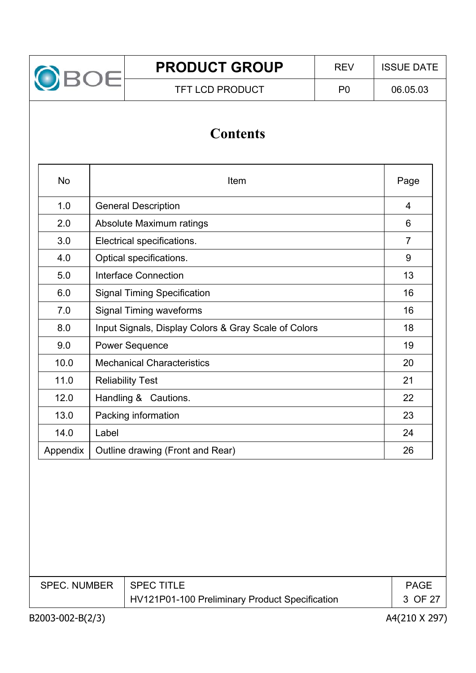

# **Contents**

| <b>No</b> | Item                                                 | Page           |
|-----------|------------------------------------------------------|----------------|
| 1.0       | <b>General Description</b>                           | $\overline{4}$ |
| 2.0       | Absolute Maximum ratings                             | 6              |
| 3.0       | Electrical specifications.                           | $\overline{7}$ |
| 4.0       | Optical specifications.                              | 9              |
| 5.0       | <b>Interface Connection</b>                          | 13             |
| 6.0       | <b>Signal Timing Specification</b>                   | 16             |
| 7.0       | <b>Signal Timing waveforms</b>                       | 16             |
| 8.0       | Input Signals, Display Colors & Gray Scale of Colors | 18             |
| 9.0       | <b>Power Sequence</b>                                | 19             |
| 10.0      | <b>Mechanical Characteristics</b>                    | 20             |
| 11.0      | <b>Reliability Test</b>                              | 21             |
| 12.0      | Handling & Cautions.                                 | 22             |
| 13.0      | Packing information                                  | 23             |
| 14.0      | Label                                                | 24             |
| Appendix  | Outline drawing (Front and Rear)                     | 26             |
|           |                                                      |                |

| <b>SPEC. NUMBER</b> | <b>SPEC TITLE</b>                              | <b>PAGE</b> |
|---------------------|------------------------------------------------|-------------|
|                     | HV121P01-100 Preliminary Product Specification | 3 OF 27     |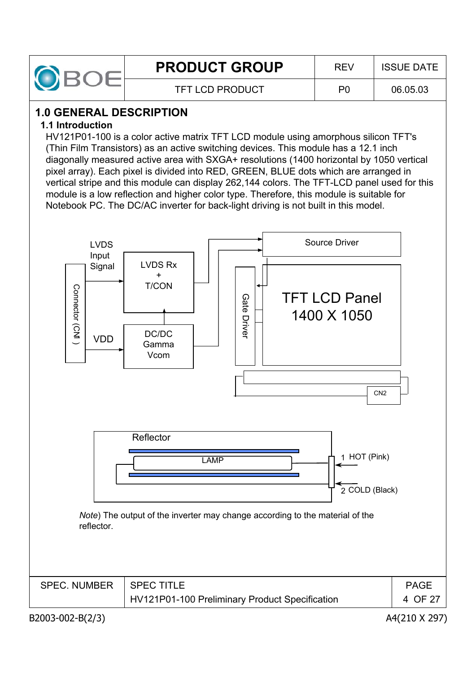

# **1.0 GENERAL DESCRIPTION**

## **1.1 Introduction**

HV121P01-100 is a color active matrix TFT LCD module using amorphous silicon TFT's (Thin Film Transistors) as an active switching devices. This module has a 12.1 inch diagonally measured active area with SXGA+ resolutions (1400 horizontal by 1050 vertical pixel array). Each pixel is divided into RED, GREEN, BLUE dots which are arranged in vertical stripe and this module can display 262,144 colors. The TFT-LCD panel used for this module is a low reflection and higher color type. Therefore, this module is suitable for Notebook PC. The DC/AC inverter for back-light driving is not built in this model.



| SPEC. NUMBER   SPEC TITLE |                                                | <b>PAGE</b> |
|---------------------------|------------------------------------------------|-------------|
|                           | HV121P01-100 Preliminary Product Specification | 4 OF 27     |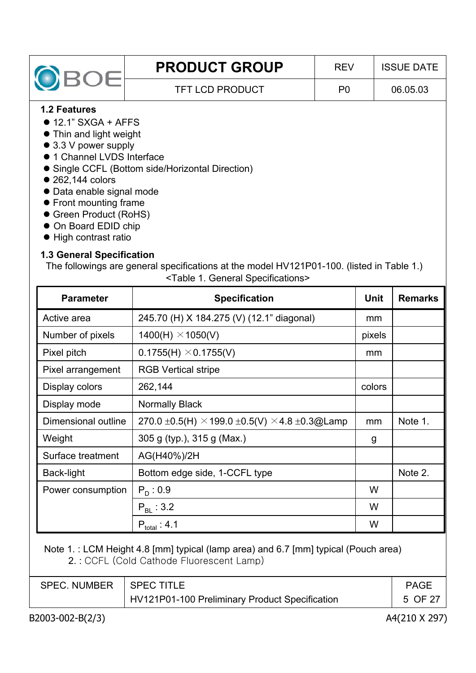| OBOE                         | <b>PRODUCT GROUP</b>                             | <b>REV</b>     | <b>ISSUE DATE</b> |
|------------------------------|--------------------------------------------------|----------------|-------------------|
|                              | <b>TFT LCD PRODUCT</b>                           | P <sub>0</sub> | 06.05.03          |
| <b>1.2 Features</b>          |                                                  |                |                   |
| $\bullet$ 12.1" SXGA + AFFS  |                                                  |                |                   |
| • Thin and light weight      |                                                  |                |                   |
| $\bullet$ 3.3 V power supply |                                                  |                |                   |
| • 1 Channel LVDS Interface   |                                                  |                |                   |
|                              | • Single CCFL (Bottom side/Horizontal Direction) |                |                   |
| $\bullet$ 262,144 colors     |                                                  |                |                   |
| • Data enable signal mode    |                                                  |                |                   |
| • Front mounting frame       |                                                  |                |                   |
|                              |                                                  |                |                   |

- Green Product (RoHS)
- $\bullet$  On Board EDID chip
- $\bullet$  High contrast ratio

#### **1.3 General Specification**

The followings are general specifications at the model HV121P01-100. (listed in Table 1.) <Table 1. General Specifications>

| <b>Parameter</b>    | <b>Specification</b>                                                       | <b>Unit</b> | <b>Remarks</b> |
|---------------------|----------------------------------------------------------------------------|-------------|----------------|
| Active area         | 245.70 (H) X 184.275 (V) (12.1" diagonal)                                  | mm          |                |
| Number of pixels    | $1400(H) \times 1050(V)$                                                   | pixels      |                |
| Pixel pitch         | $0.1755(H) \times 0.1755(V)$                                               | mm          |                |
| Pixel arrangement   | <b>RGB Vertical stripe</b>                                                 |             |                |
| Display colors      | 262,144                                                                    | colors      |                |
| Display mode        | <b>Normally Black</b>                                                      |             |                |
| Dimensional outline | 270.0 $\pm$ 0.5(H) $\times$ 199.0 $\pm$ 0.5(V) $\times$ 4.8 $\pm$ 0.3@Lamp | mm          | Note 1.        |
| Weight              | 305 g (typ.), 315 g (Max.)                                                 | g           |                |
| Surface treatment   | AG(H40%)/2H                                                                |             |                |
| Back-light          | Bottom edge side, 1-CCFL type                                              |             | Note 2.        |
| Power consumption   | $P_D: 0.9$                                                                 | W           |                |
|                     | $P_{BL}$ : 3.2                                                             | W           |                |
|                     | $P_{total}$ : 4.1                                                          | W           |                |

Note 1. : LCM Height 4.8 [mm] typical (lamp area) and 6.7 [mm] typical (Pouch area) 2. : CCFL (Cold Cathode Fluorescent Lamp)

| SPEC. NUMBER   SPEC TITLE |                                                | <b>PAGE</b> |
|---------------------------|------------------------------------------------|-------------|
|                           | HV121P01-100 Preliminary Product Specification | 5 OF 27     |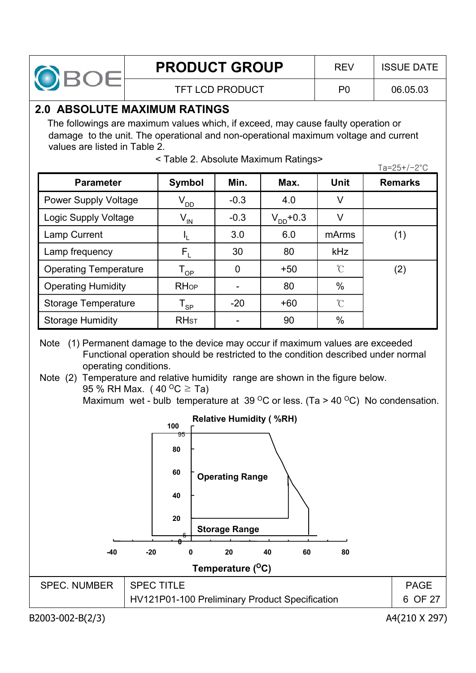

## **2.0 ABSOLUTE MAXIMUM RATINGS**

The followings are maximum values which, if exceed, may cause faulty operation or damage to the unit. The operational and non-operational maximum voltage and current values are listed in Table 2.

|                              |                            |        |               |                     | 1 a - 2 J 1 / 2 U |
|------------------------------|----------------------------|--------|---------------|---------------------|-------------------|
| <b>Parameter</b>             | <b>Symbol</b>              | Min.   | Max.          | Unit                | <b>Remarks</b>    |
| <b>Power Supply Voltage</b>  | V <sub>DD</sub>            | $-0.3$ | 4.0           | V                   |                   |
| Logic Supply Voltage         | $V_{\text{IN}}$            | $-0.3$ | $V_{DD}$ +0.3 | V                   |                   |
| Lamp Current                 | Ч.                         | 3.0    | 6.0           | mArms               | (1)               |
| Lamp frequency               | $\mathsf{F}_{\mathsf{L}}$  | 30     | 80            | <b>kHz</b>          |                   |
| <b>Operating Temperature</b> | $\mathsf{T}_{\mathsf{OP}}$ | 0      | $+50$         | $\mathcal{C}$       | (2)               |
| <b>Operating Humidity</b>    | <b>RHop</b>                |        | 80            | $\%$                |                   |
| <b>Storage Temperature</b>   | $\mathsf{T}_{\mathsf{SP}}$ | $-20$  | $+60$         | $\int_{0}^{\infty}$ |                   |
| <b>Storage Humidity</b>      | <b>RH<sub>ST</sub></b>     |        | 90            | $\%$                |                   |

 $\times$  Table 2. Absolute Maximum Ratings><br> $T_{22}$ 

Note (1) Permanent damage to the device may occur if maximum values are exceeded Functional operation should be restricted to the condition described under normal operating conditions.

Note (2) Temperature and relative humidity range are shown in the figure below. 95 % RH Max. (40  $^{\circ}$ C  $\geq$  Ta)

Maximum wet - bulb temperature at 39  $\mathrm{^{\circ}C}$  or less. (Ta > 40  $\mathrm{^{\circ}C}$ ) No condensation.



B2003-002-B(2/3) A4(210 X 297)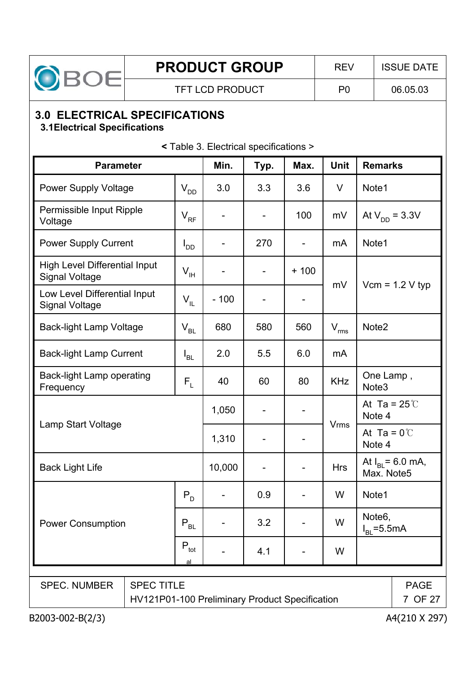

# **3.0 ELECTRICAL SPECIFICATIONS**

# **3.1Electrical Specifications**

**<** Table 3. Electrical specifications >

| <b>Parameter</b>                                              |                                                                     | Min.            | Typ.   | Max.                         | <b>Unit</b>                  | <b>Remarks</b> |                                      |  |
|---------------------------------------------------------------|---------------------------------------------------------------------|-----------------|--------|------------------------------|------------------------------|----------------|--------------------------------------|--|
| <b>Power Supply Voltage</b>                                   |                                                                     | $V_{DD}$        | 3.0    | 3.3                          | 3.6                          | V              | Note1                                |  |
| Permissible Input Ripple<br>Voltage                           |                                                                     | $V_{RF}$        |        |                              | 100                          | mV             | At $V_{DD} = 3.3V$                   |  |
| <b>Power Supply Current</b>                                   |                                                                     | l <sub>DD</sub> |        | 270                          | $\qquad \qquad \blacksquare$ | mA             | Note1                                |  |
| <b>High Level Differential Input</b><br><b>Signal Voltage</b> |                                                                     | $V_{\rm IH}$    |        | $\qquad \qquad \blacksquare$ | $+100$                       | mV             | $Vcm = 1.2 V typ$                    |  |
| Low Level Differential Input<br><b>Signal Voltage</b>         |                                                                     | $V_{IL}$        | $-100$ |                              |                              |                |                                      |  |
| <b>Back-light Lamp Voltage</b>                                |                                                                     | $V_{BL}$        | 680    | 580                          | 560                          | $V_{rms}$      | Note <sub>2</sub>                    |  |
| <b>Back-light Lamp Current</b>                                |                                                                     | $I_{BL}$        | 2.0    | 5.5                          | 6.0                          | mA             |                                      |  |
| <b>Back-light Lamp operating</b><br>Frequency                 |                                                                     | $F_L$           | 40     | 60                           | 80                           | <b>KHz</b>     | One Lamp,<br>Note <sub>3</sub>       |  |
|                                                               |                                                                     |                 | 1,050  |                              |                              |                | At Ta = $25^\circ$ C<br>Note 4       |  |
| Lamp Start Voltage                                            |                                                                     |                 | 1,310  |                              |                              | <b>Vrms</b>    | At Ta = $0^{\circ}$<br>Note 4        |  |
| <b>Back Light Life</b>                                        |                                                                     |                 | 10,000 |                              |                              | <b>Hrs</b>     | At $I_{BL} = 6.0$ mA,<br>Max. Note5  |  |
| $P_{D}$                                                       |                                                                     |                 |        | 0.9                          |                              | W              | Note1                                |  |
| <b>Power Consumption</b>                                      |                                                                     | $P_{BL}$        |        | 3.2                          |                              | W              | Note <sub>6</sub> ,<br>$IRI = 5.5mA$ |  |
| $\mathsf{P}_{\sf tot}$<br>a                                   |                                                                     |                 | 4.1    |                              | W                            |                |                                      |  |
|                                                               |                                                                     |                 |        |                              |                              |                |                                      |  |
| <b>SPEC. NUMBER</b>                                           | <b>SPEC TITLE</b><br>HV121P01-100 Preliminary Product Specification |                 |        |                              |                              |                | <b>PAGE</b><br>7 OF 27               |  |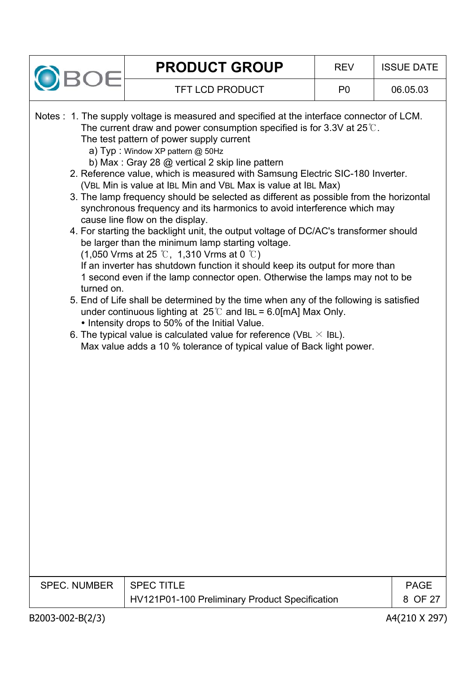

|  |  |                                                                                |  |  | Notes : 1. The supply voltage is measured and specified at the interface connector of LCM. |  |
|--|--|--------------------------------------------------------------------------------|--|--|--------------------------------------------------------------------------------------------|--|
|  |  | The current draw and power consumption specified is for 3.3V at $25^{\circ}$ . |  |  |                                                                                            |  |

The test pattern of power supply current

- a) Typ : Window XP pattern @ 50Hz
- b) Max : Gray 28 @ vertical 2 skip line pattern
- 2. Reference value, which is measured with Samsung Electric SIC-180 Inverter. (VBL Min is value at IBL Min and VBL Max is value at IBL Max)
- 3. The lamp frequency should be selected as different as possible from the horizontal synchronous frequency and its harmonics to avoid interference which may cause line flow on the display.
- 4. For starting the backlight unit, the output voltage of DC/AC's transformer should be larger than the minimum lamp starting voltage.

(1,050 Vrms at 25  $\degree$ C, 1,310 Vrms at 0  $\degree$ C)

If an inverter has shutdown function it should keep its output for more than 1 second even if the lamp connector open. Otherwise the lamps may not to be turned on.

- 5. End of Life shall be determined by the time when any of the following is satisfied under continuous lighting at  $25^{\circ}$  and IBL = 6.0[mA] Max Only.
	- Intensity drops to 50% of the Initial Value.
- 6. The typical value is calculated value for reference (VBL  $\times$  IBL). Max value adds a 10 % tolerance of typical value of Back light power.

| SPEC. NUMBER   SPEC TITLE |                                                | PAGE    |
|---------------------------|------------------------------------------------|---------|
|                           | HV121P01-100 Preliminary Product Specification | 8 OF 27 |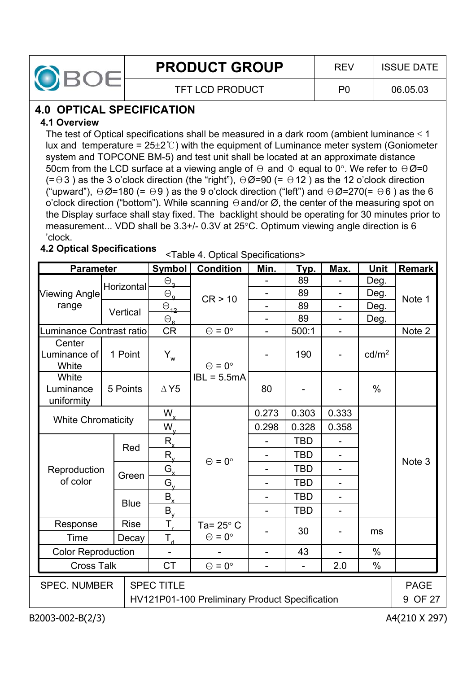

# **4.0 OPTICAL SPECIFICATION**

#### **4.1 Overview**

The test of Optical specifications shall be measured in a dark room (ambient luminance  $\leq 1$ lux and temperature =  $25\pm2\degree$ C) with the equipment of Luminance meter system (Goniometer system and TOPCONE BM-5) and test unit shall be located at an approximate distance 50cm from the LCD surface at a viewing angle of  $\Theta$  and  $\Phi$  equal to 0°. We refer to  $\Theta \varnothing$ =0  $(=\Theta 3)$  as the 3 o'clock direction (the "right"),  $\Theta \emptyset = 90$  (=  $\Theta$ 12) as the 12 o'clock direction ("upward"),  $\Theta \emptyset$ =180 (=  $\Theta$ 9) as the 9 o'clock direction ("left") and  $\Theta \emptyset$ =270(=  $\Theta$ 6) as the 6 o'clock direction ("bottom"). While scanning  $\Theta$  and/or  $\varnothing$ , the center of the measuring spot on the Display surface shall stay fixed. The backlight should be operating for 30 minutes prior to measurement... VDD shall be  $3.3+/$ - 0.3V at  $25^{\circ}$ C. Optimum viewing angle direction is 6 'clock.

# **4.2 Optical Specifications** <Table 4. Optical Specifications>

| <b>Parameter</b>                               |                           |             | <b>Symbol</b>                | <b>Condition</b>     | Min.                     | <u>Тур.</u>    | Max.                     | <b>Unit</b>       | <b>Remark</b>     |
|------------------------------------------------|---------------------------|-------------|------------------------------|----------------------|--------------------------|----------------|--------------------------|-------------------|-------------------|
|                                                |                           | Horizontal  | $\Theta_{3}$                 |                      |                          | 89             |                          | Deg.              |                   |
| <b>Viewing Angle</b>                           |                           |             | $\Theta_{\mathbf{q}}$        | CR > 10              |                          | 89             | $\overline{\phantom{0}}$ | Deg.              | Note 1            |
| range                                          |                           | Vertical    | $\Theta_{12}$                |                      |                          | 89             |                          | Deg.              |                   |
|                                                |                           |             | $\Theta_{\mathbf{a}}$        |                      | $\overline{\phantom{0}}$ | 89             |                          | Deg.              |                   |
| Luminance Contrast ratio                       |                           |             | <b>CR</b>                    | $\Theta = 0^{\circ}$ | $\overline{a}$           | 500:1          | $\overline{a}$           |                   | Note 2            |
| Center<br>Luminance of<br>White                |                           | 1 Point     | $Y_w$                        | $\Theta = 0^{\circ}$ |                          | 190            |                          | cd/m <sup>2</sup> |                   |
| White<br>Luminance<br>uniformity               | 5 Points                  |             | $IBL = 5.5mA$<br>$\Delta$ Y5 |                      | 80                       |                |                          | $\%$              |                   |
|                                                |                           |             | $W_{x}$                      |                      | 0.273                    | 0.303          | 0.333                    |                   |                   |
|                                                | <b>White Chromaticity</b> |             | $W_{\rm v}$                  |                      | 0.298                    | 0.328          | 0.358                    |                   |                   |
|                                                |                           |             | $R_{x}$                      |                      |                          | <b>TBD</b>     |                          |                   |                   |
|                                                |                           | Red         | $R_{v}$                      |                      |                          | <b>TBD</b>     |                          |                   |                   |
| Reproduction                                   |                           |             | $G_{x}$                      | $\Theta = 0^{\circ}$ |                          | <b>TBD</b>     |                          |                   | Note <sub>3</sub> |
| of color                                       |                           | Green       | $G_v$                        |                      |                          | <b>TBD</b>     |                          |                   |                   |
|                                                |                           |             | $B_{x}$                      |                      |                          | <b>TBD</b>     |                          |                   |                   |
|                                                |                           | <b>Blue</b> | $B_{\rm v}$                  |                      |                          | <b>TBD</b>     | L,                       |                   |                   |
| Response                                       |                           | <b>Rise</b> | $T_{\rm r}$                  | Ta= $25^\circ$ C     |                          |                |                          |                   |                   |
| Time<br>Decay                                  |                           |             | $T_{d}$                      | $\Theta = 0^{\circ}$ |                          | 30             |                          | ms                |                   |
| <b>Color Reproduction</b>                      |                           |             |                              | $\overline{a}$       | 43                       |                | $\frac{0}{0}$            |                   |                   |
| <b>Cross Talk</b>                              |                           |             | <b>CT</b>                    | $\Theta = 0^{\circ}$ | $\overline{a}$           | $\overline{a}$ | 2.0                      | $\%$              |                   |
| <b>SPEC. NUMBER</b>                            |                           |             | <b>SPEC TITLE</b>            | <b>PAGE</b>          |                          |                |                          |                   |                   |
|                                                |                           |             |                              |                      |                          |                |                          |                   |                   |
| HV121P01-100 Preliminary Product Specification |                           |             |                              |                      |                          |                |                          |                   |                   |

B2003-002-B(2/3) A4(210 X 297)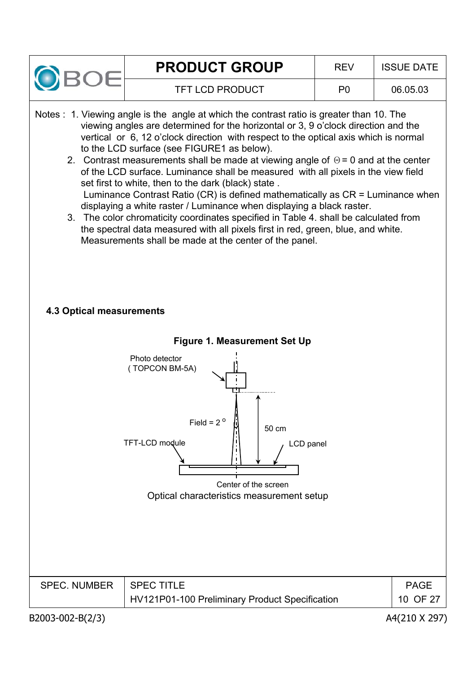

- Notes : 1. Viewing angle is the angle at which the contrast ratio is greater than 10. The viewing angles are determined for the horizontal or 3, 9 o'clock direction and the vertical or 6, 12 o'clock direction with respect to the optical axis which is normal to the LCD surface (see FIGURE1 as below).
	- 2. Contrast measurements shall be made at viewing angle of  $\Theta$  = 0 and at the center of the LCD surface. Luminance shall be measured with all pixels in the view field set first to white, then to the dark (black) state . Luminance Contrast Ratio (CR) is defined mathematically as CR = Luminance when displaying a white raster / Luminance when displaying a black raster.
	- 3. The color chromaticity coordinates specified in Table 4. shall be calculated from the spectral data measured with all pixels first in red, green, blue, and white. Measurements shall be made at the center of the panel.

#### **4.3 Optical measurements**

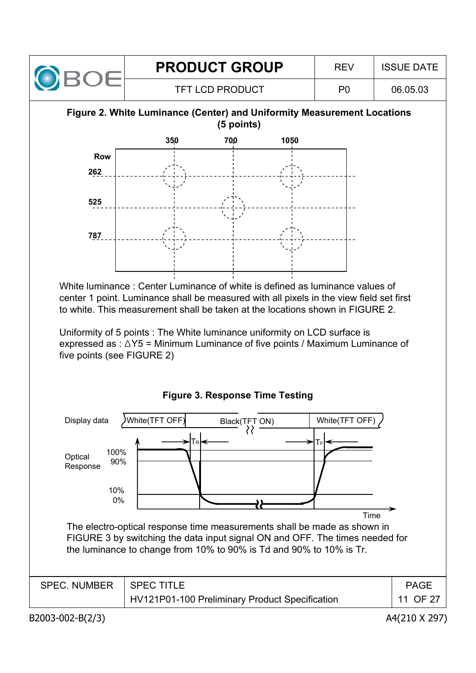

#### **Figure 2. White Luminance (Center) and Uniformity Measurement Locations (5 points)**



White luminance : Center Luminance of white is defined as luminance values of center 1 point. Luminance shall be measured with all pixels in the view field set first to white. This measurement shall be taken at the locations shown in FIGURE 2.

Uniformity of 5 points : The White luminance uniformity on LCD surface is expressed as :  $\triangle Y5$  = Minimum Luminance of five points / Maximum Luminance of five points (see FIGURE 2)



**Figure 3. Response Time Testing**

B2003-002-B(2/3) A4(210 X 297)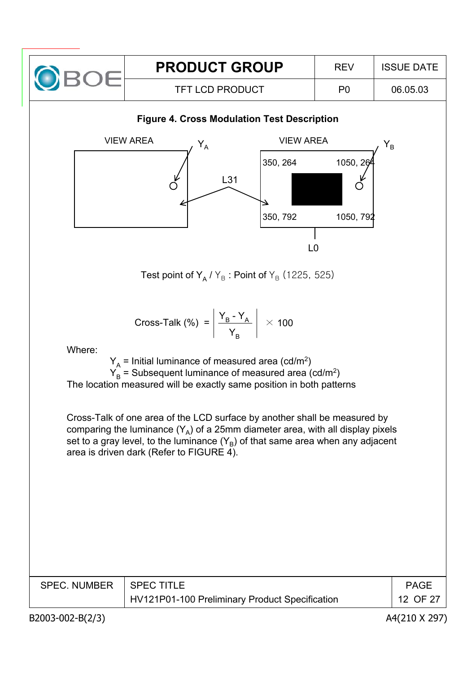

#### **Figure 4. Cross Modulation Test Description**



Test point of Y<sub>A</sub> / Y<sub>B</sub>: Point of Y<sub>B</sub> (1225, 525)

Cross-Talk (%) = 
$$
\left| \frac{Y_B - Y_A}{Y_B} \right| \times 100
$$

Where:

 $Y_A$  = Initial luminance of measured area (cd/m<sup>2</sup>)  $Y_B =$  Subsequent luminance of measured area (cd/m<sup>2</sup>) The location measured will be exactly same position in both patterns

Cross-Talk of one area of the LCD surface by another shall be measured by comparing the luminance  $(Y_A)$  of a 25mm diameter area, with all display pixels set to a gray level, to the luminance  $(Y_B)$  of that same area when any adjacent area is driven dark (Refer to FIGURE 4).

| <b>SPEC. NUMBER</b> | SPEC TITLE                                     | PAGF     |
|---------------------|------------------------------------------------|----------|
|                     | HV121P01-100 Preliminary Product Specification | 12 OF 27 |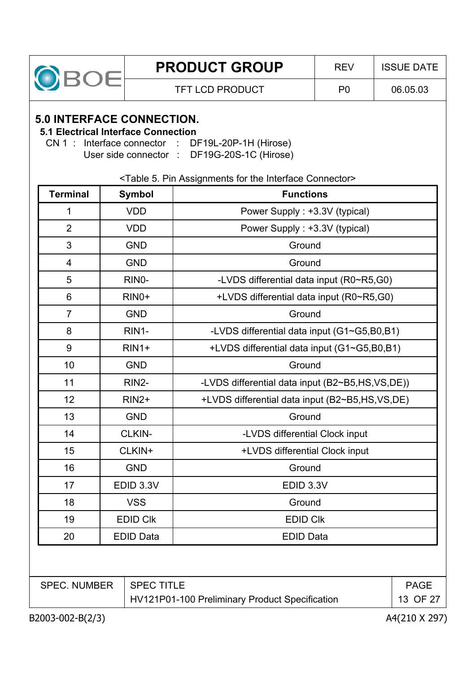

### **5.0 INTERFACE CONNECTION.**

### **5.1 Electrical Interface Connection**

CN 1 : Interface connector : DF19L-20P-1H (Hirose) User side connector : DF19G-20S-1C (Hirose)

#### <Table 5. Pin Assignments for the Interface Connector>

| <b>Terminal</b>          | <b>Symbol</b>    | <b>Functions</b>                                |
|--------------------------|------------------|-------------------------------------------------|
| $\mathbf 1$              | <b>VDD</b>       | Power Supply: +3.3V (typical)                   |
| $\overline{2}$           | <b>VDD</b>       | Power Supply: +3.3V (typical)                   |
| 3                        | <b>GND</b>       | Ground                                          |
| $\overline{\mathcal{A}}$ | <b>GND</b>       | Ground                                          |
| 5                        | RINO-            | -LVDS differential data input (R0~R5,G0)        |
| 6                        | $RINO+$          | +LVDS differential data input (R0~R5,G0)        |
| $\overline{7}$           | <b>GND</b>       | Ground                                          |
| 8                        | RIN1-            | -LVDS differential data input (G1~G5,B0,B1)     |
| 9                        | $RIN1+$          | +LVDS differential data input (G1~G5,B0,B1)     |
| 10                       | <b>GND</b>       | Ground                                          |
| 11                       | RIN2-            | -LVDS differential data input (B2~B5,HS,VS,DE)) |
| 12                       | <b>RIN2+</b>     | +LVDS differential data input (B2~B5,HS,VS,DE)  |
| 13                       | <b>GND</b>       | Ground                                          |
| 14                       | CLKIN-           | -LVDS differential Clock input                  |
| 15                       | CLKIN+           | +LVDS differential Clock input                  |
| 16                       | <b>GND</b>       | Ground                                          |
| 17                       | EDID 3.3V        | EDID 3.3V                                       |
| 18                       | <b>VSS</b>       | Ground                                          |
| 19                       | <b>EDID CIK</b>  | <b>EDID CIK</b>                                 |
| 20                       | <b>EDID Data</b> | <b>EDID Data</b>                                |

| <b>SPEC. NUMBER</b> | I SPEC TITLE                                   | <b>PAGE</b> |
|---------------------|------------------------------------------------|-------------|
|                     | HV121P01-100 Preliminary Product Specification | 13 OF 27    |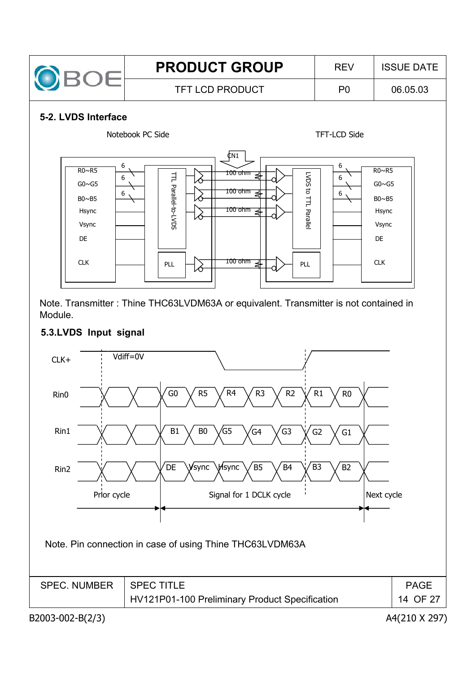

#### **5-2. LVDS Interface**



Note. Transmitter : Thine THC63LVDM63A or equivalent. Transmitter is not contained in Module.

#### **5.3.LVDS Input signal**

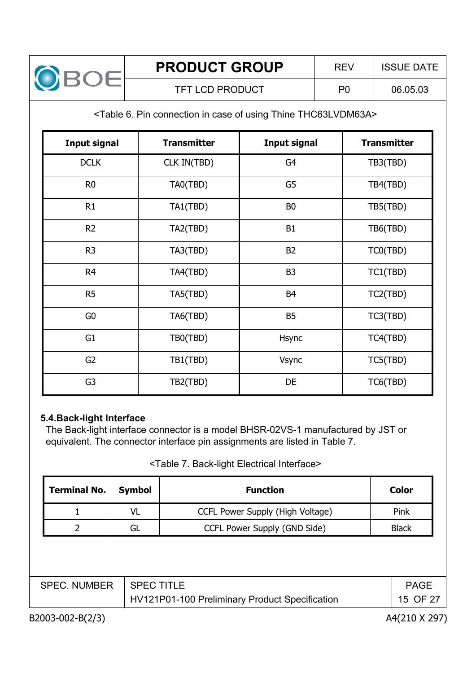

#### <Table 6. Pin connection in case of using Thine THC63LVDM63A>

| <b>Input signal</b> | <b>Transmitter</b> | <b>Input signal</b> | <b>Transmitter</b> |
|---------------------|--------------------|---------------------|--------------------|
| <b>DCLK</b>         | CLK IN(TBD)        | G4                  | TB3(TBD)           |
| R <sub>0</sub>      | TA0(TBD)           | G5                  | TB4(TBD)           |
| R1                  | TA1(TBD)           | B <sub>0</sub>      | TB5(TBD)           |
| R <sub>2</sub>      | TA2(TBD)           | <b>B1</b>           | TB6(TBD)           |
| R <sub>3</sub>      | TA3(TBD)           | B <sub>2</sub>      | TC0(TBD)           |
| R <sub>4</sub>      | TA4(TBD)           | B <sub>3</sub>      | TC1(TBD)           |
| R <sub>5</sub>      | TA5(TBD)           | B <sub>4</sub>      | TC2(TBD)           |
| G <sub>0</sub>      | TA6(TBD)           | <b>B5</b>           | TC3(TBD)           |
| G <sub>1</sub>      | TB0(TBD)           | <b>Hsync</b>        | TC4(TBD)           |
| G <sub>2</sub>      | TB1(TBD)           | <b>Vsync</b>        | TC5(TBD)           |
| G <sub>3</sub>      | TB2(TBD)           | DE                  | TC6(TBD)           |

#### **5.4.Back-light Interface**

The Back-light interface connector is a model BHSR-02VS-1 manufactured by JST or equivalent. The connector interface pin assignments are listed in Table 7.

#### <Table 7. Back-light Electrical Interface>

| <b>Terminal No.</b> | <b>Symbol</b> | <b>Function</b>                  | Color        |
|---------------------|---------------|----------------------------------|--------------|
|                     | <b>VL</b>     | CCFL Power Supply (High Voltage) | Pink         |
|                     | GL            | CCFL Power Supply (GND Side)     | <b>Black</b> |

| SPEC. NUMBER | <b>SPECTITLE</b>                               | <b>PAGE</b> |
|--------------|------------------------------------------------|-------------|
|              | HV121P01-100 Preliminary Product Specification | 15 OF 27    |

B2003-002-B(2/3) A4(210 X 297)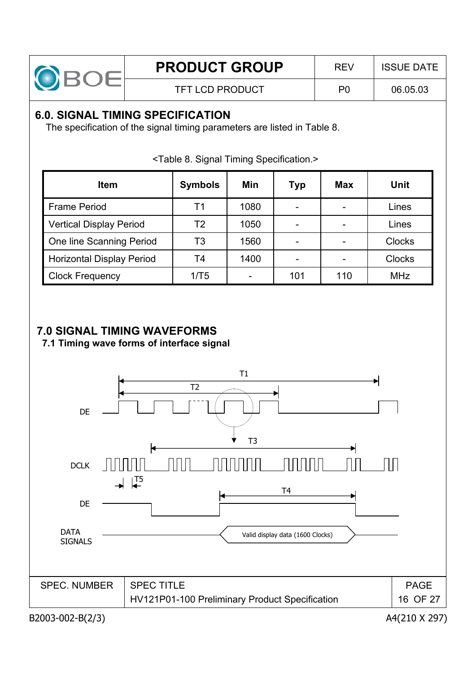

# **6.0. SIGNAL TIMING SPECIFICATION**

The specification of the signal timing parameters are listed in Table 8.

| <b>Item</b>                      | <b>Symbols</b> | Min  | <b>Typ</b>               | <b>Max</b>               | Unit          |
|----------------------------------|----------------|------|--------------------------|--------------------------|---------------|
| <b>Frame Period</b>              | Τ1             | 1080 | $\overline{\phantom{0}}$ | $\overline{\phantom{0}}$ | Lines         |
| <b>Vertical Display Period</b>   | T2             | 1050 | -                        |                          | Lines         |
| One line Scanning Period         | T3             | 1560 | $\blacksquare$           |                          | <b>Clocks</b> |
| <b>Horizontal Display Period</b> | T4             | 1400 |                          |                          | <b>Clocks</b> |
| <b>Clock Frequency</b>           | 1/T5           |      | 101                      | 110                      | <b>MHz</b>    |

<Table 8. Signal Timing Specification.>

# **7.0 SIGNAL TIMING WAVEFORMS**

**7.1 Timing wave forms of interface signal**

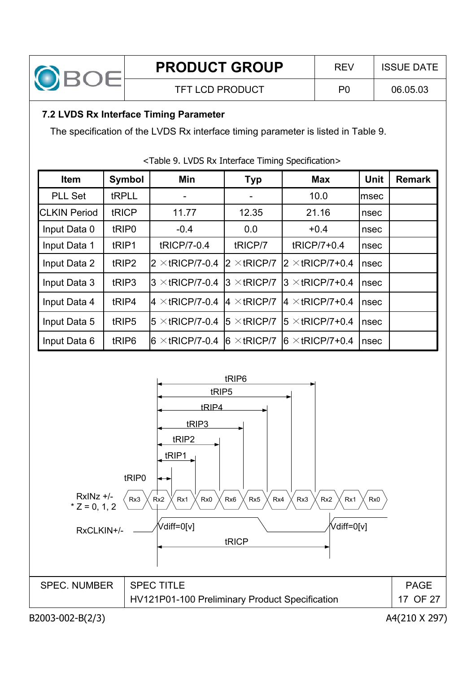

# **7.2 LVDS Rx Interface Timing Parameter**

The specification of the LVDS Rx interface timing parameter is listed in Table 9.

| <b>Item</b>          | <b>Symbol</b>     | Min                     | <b>Typ</b>           | <b>Max</b>              | <b>Unit</b> | <b>Remark</b> |
|----------------------|-------------------|-------------------------|----------------------|-------------------------|-------------|---------------|
| <b>PLL Set</b>       | tRPLL             |                         |                      | 10.0                    | lmsec       |               |
| <b>ICLKIN Period</b> | tRICP             | 11.77                   | 12.35                | 21.16                   | nsec        |               |
| Input Data 0         | tRIP <sub>0</sub> | $-0.4$                  | 0.0                  | $+0.4$                  | nsec        |               |
| Input Data 1         | tRIP1             | tRICP/7-0.4             | tRICP/7              | tRICP/7+0.4             | nsec        |               |
| Input Data 2         | tRIP2             | $2 \times$ tRICP/7-0.4  | $2 \times$ tricp/7   | $2 \times$ tricp/7+0.4  | nsec        |               |
| Input Data 3         | tRIP3             | $3 \times$ tRICP/7-0.4  | $3 \times$ tRICP/7   | $3 \times$ tRICP/7+0.4  | nsec        |               |
| Input Data 4         | tRIP4             | $4 \times$ tRICP/7-0.4  | $4 \times$ tRICP/7   | $4 \times$ tRICP/7+0.4  | nsec        |               |
| Input Data 5         | tRIP5             | $15 \times$ tRICP/7-0.4 | $15 \times tRICP/7$  | $15 \times$ tRICP/7+0.4 | nsec        |               |
| Input Data 6         | tRIP6             | $6 \times$ tRICP/7-0.4  | $ 6 \times tRICP/7 $ | $6 \times$ tRICP/7+0.4  | nsec        |               |

#### <Table 9. LVDS Rx Interface Timing Specification>



B2003-002-B(2/3) A4(210 X 297)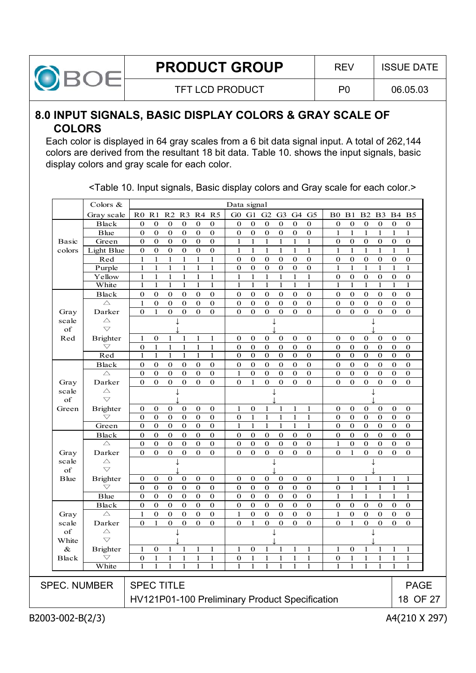

#### **8.0 INPUT SIGNALS, BASIC DISPLAY COLORS & GRAY SCALE OF COLORS**

Each color is displayed in 64 gray scales from a 6 bit data signal input. A total of 262,144 colors are derived from the resultant 18 bit data. Table 10. shows the input signals, basic display colors and gray scale for each color.

| R <sub>5</sub><br>G <sub>5</sub><br>R <sub>0</sub><br>R <sub>1</sub><br>R <sub>2</sub><br>R <sub>3</sub><br>R4<br>G0<br>G1<br>G2<br>G <sub>3</sub><br>G4<br>B1<br>B <sub>2</sub><br>B <sub>3</sub><br>B <sub>4</sub><br>B <sub>5</sub><br>Gray scale<br>B <sub>0</sub><br>$\boldsymbol{0}$<br>$\boldsymbol{0}$<br>$\boldsymbol{0}$<br>$\boldsymbol{0}$<br>$\boldsymbol{0}$<br>$\boldsymbol{0}$<br>Black<br>$\bf{0}$<br>$\bf{0}$<br>$\mathbf 0$<br>$\bf{0}$<br>$\bf{0}$<br>$\bf{0}$<br>$\bf{0}$<br>$\bf{0}$<br>$\mathbf 0$<br>$\bf{0}$<br>$\bf{0}$<br>0<br>$\boldsymbol{0}$<br>$\mathbf 0$<br>$\boldsymbol{0}$<br>$\mathbf 0$<br>$\boldsymbol{0}$<br>$\boldsymbol{0}$<br>$\mathbf 0$<br>$\boldsymbol{0}$<br>$\mathbf{1}$<br>$\mathbf{1}$<br>$\mathbf{1}$<br>$\mathbf{1}$<br><b>B</b> lue<br>$\mathbf{0}$<br>$\mathbf 0$<br>$\mathbf{0}$<br>$\bf{0}$<br>$\mathbf{1}$<br>1<br>Green<br>$\boldsymbol{0}$<br>$\mathbf{0}$<br>$\boldsymbol{0}$<br>$\boldsymbol{0}$<br>$\bf{0}$<br>$\boldsymbol{0}$<br>$\mathbf{1}$<br>$\mathbf{1}$<br>$\mathbf{1}$<br>$\mathbf{1}$<br>$\boldsymbol{0}$<br>$\mathbf{0}$<br>$\boldsymbol{0}$<br>$\mathbf{0}$<br>$\boldsymbol{0}$<br><b>Basic</b><br>1<br>1<br>0<br>$\boldsymbol{0}$<br>Light Blue<br>$\boldsymbol{0}$<br>$\boldsymbol{0}$<br>$\boldsymbol{0}$<br>$\boldsymbol{0}$<br>$\boldsymbol{0}$<br>$\mathbf{1}$<br>$\mathbf{1}$<br>$\mathbf{1}$<br>$\mathbf{1}$<br>$\mathbf{1}$<br>$\mathbf{1}$<br>$\mathbf{1}$<br>$\mathbf{1}$<br>$\mathbf{1}$<br>$\mathbf{1}$<br>colors<br>1<br>1<br>Red<br>$\mathbf{1}$<br>$\mathbf{1}$<br>$\mathbf{1}$<br>$\mathbf{1}$<br>$\boldsymbol{0}$<br>$\mathbf{0}$<br>$\boldsymbol{0}$<br>$\mathbf{0}$<br>$\mathbf{0}$<br>$\mathbf{0}$<br>$\boldsymbol{0}$<br>$\boldsymbol{0}$<br>$\mathbf{0}$<br>$\mathbf{0}$<br>$\mathbf{1}$<br>1<br>$\bf{0}$<br>$\bf{0}$<br>$\mathbf 1$<br>$\mathbf{1}$<br>$\mathbf{1}$<br>Purple<br>$\mathbf{1}$<br>$\mathbf{1}$<br>$\mathbf{1}$<br>$\mathbf{1}$<br>$\mathbf{1}$<br>$\boldsymbol{0}$<br>$\mathbf{0}$<br>$\boldsymbol{0}$<br>$\boldsymbol{0}$<br>$\boldsymbol{0}$<br>0<br>$\mathbf{1}$<br>$\mathbf{1}$<br>$\mathbf{1}$<br>$\mathbf{1}$<br>Yellow<br>$\mathbf{1}$<br>$\mathbf{1}$<br>$\mathbf{1}$<br>$\boldsymbol{0}$<br>$\boldsymbol{0}$<br>$\boldsymbol{0}$<br>$\boldsymbol{0}$<br>$\boldsymbol{0}$<br>1<br>$\mathbf{1}$<br>1<br>$\mathbf{1}$<br>1<br>1<br>1<br>$\mathbf{1}$<br>$\mathbf{1}$<br>$\boldsymbol{0}$<br>White<br>$\mathbf{1}$<br>$\mathbf{1}$<br>$\mathbf{1}$<br>$\mathbf{1}$<br>$\mathbf{1}$<br>$\mathbf{1}$<br>$\mathbf{1}$<br>$\mathbf{1}$<br>$\mathbf{1}$<br>$\mathbf{1}$<br>$\mathbf{1}$<br>$\mathbf{1}$<br>$\mathbf{1}$<br>$\mathbf{1}$<br>1<br>1<br>1<br>$\mathbf{1}$<br>$\bf{0}$<br>$\bf{0}$<br>$\mathbf 0$<br>$\bf{0}$<br>$\mathbf{0}$<br>$\bf{0}$<br>$\mathbf{0}$<br>Black<br>$\mathbf 0$<br>$\boldsymbol{0}$<br>$\bf{0}$<br>$\bf{0}$<br>$\bf{0}$<br>$\bf{0}$<br>$\bf{0}$<br>$\mathbf 0$<br>$\bf{0}$<br>$\mathbf 0$<br>$\bf{0}$<br>$\overline{0}$<br>$\overline{0}$<br>$\overline{0}$<br>$\mathbf{0}$<br>$\overline{0}$<br>$\overline{0}$<br>$\triangle$<br>$\mathbf{1}$<br>$\bf{0}$<br>$\bf{0}$<br>$\mathbf 0$<br>$\bf{0}$<br>$\bf{0}$<br>$\bf{0}$<br>$\bf{0}$<br>$\mathbf{0}$<br>$\mathbf{0}$<br>$\boldsymbol{0}$<br>$\mathbf{0}$<br>$\mathbf{0}$<br>$\mathbf 0$<br>$\mathbf{0}$<br>$\mathbf 0$<br>$\mathbf{0}$<br>$\mathbf{0}$<br>$\mathbf 0$<br>$\mathbf 0$<br>$\mathbf 0$<br>$\mathbf{0}$<br>$\mathbf{0}$<br>$\mathbf{0}$<br>$\mathbf{0}$<br>$\mathbf{0}$<br>$\mathbf 0$<br>$\mathbf{0}$<br>Darker<br>$\mathbf{1}$<br>$\mathbf{0}$<br>Gray<br>$\triangle$<br>scale<br>T<br>↓<br>$\bigtriangledown$<br>of<br><b>Brighter</b><br>$\mathbf 1$<br>$\boldsymbol{0}$<br>$\boldsymbol{0}$<br>$\boldsymbol{0}$<br>$\boldsymbol{0}$<br>$\boldsymbol{0}$<br>$\boldsymbol{0}$<br>Red<br>1<br>$\bf{0}$<br>$\mathbf{1}$<br>1<br>1<br>$\bf{0}$<br>$\bf{0}$<br>$\bf{0}$<br>$\bf{0}$<br>0<br>0<br>$\mathbf{1}$<br>$\mathbf 1$<br>$\mathbf 0$<br>$\mathbf 0$<br>$\bigtriangledown$<br>$\mathbf{0}$<br>$\mathbf{1}$<br>$\mathbf{1}$<br>$\mathbf{1}$<br>$\boldsymbol{0}$<br>$\bf{0}$<br>$\bf{0}$<br>$\boldsymbol{0}$<br>$\bf{0}$<br>$\bf{0}$<br>$\bf{0}$<br>$\bf{0}$<br>$\bf{0}$<br>$\bf{0}$<br>Red<br>$\mathbf{1}$<br>$\mathbf{1}$<br>$\mathbf 0$<br>$\bf{0}$<br>$\mathbf{0}$<br>$\bf{0}$<br>$\boldsymbol{0}$<br>$\mathbf{0}$<br>$\mathbf{0}$<br>$\bf{0}$<br>$\bf{0}$<br>$\bf{0}$<br>$\mathbf{1}$<br>$\mathbf{1}$<br>1<br>1<br>$\mathbf 0$<br>$\mathbf{0}$<br><b>Black</b><br>$\boldsymbol{0}$<br>$\boldsymbol{0}$<br>$\boldsymbol{0}$<br>$\boldsymbol{0}$<br>$\boldsymbol{0}$<br>$\boldsymbol{0}$<br>$\mathbf 0$<br>$\bf{0}$<br>$\mathbf 0$<br>$\mathbf 0$<br>$\bf{0}$<br>$\bf{0}$<br>$\bf{0}$<br>$\bf{0}$<br>$\boldsymbol{0}$<br>$\mathbf{0}$<br>$\mathbf 0$<br>$\mathbf{0}$<br>$\triangle$<br>$\mathbf{0}$<br>$\boldsymbol{0}$<br>$\boldsymbol{0}$<br>$\boldsymbol{0}$<br>$\mathbf 0$<br>$\mathbf{0}$<br>$\mathbf{0}$<br>$\bf{0}$<br>$\mathbf{0}$<br>$\mathbf 0$<br>$\bf{0}$<br>$\mathbf{1}$<br>$\mathbf{0}$<br>$\mathbf 0$<br>$\mathbf{0}$<br>$\mathbf{0}$<br>$\bf{0}$<br>$\mathbf{0}$<br>$\mathbf{0}$<br>Darker<br>$\Omega$<br>$\mathbf{0}$<br>$\mathbf{0}$<br>$\mathbf{0}$<br>$\mathbf{0}$<br>$\Omega$<br>$\mathbf{1}$<br>$\mathbf{0}$<br>$\mathbf{0}$<br>$\mathbf{0}$<br>$\mathbf{0}$<br>$\Omega$<br>$\mathbf{0}$<br>$\mathbf{0}$<br>$\bf{0}$<br>$\mathbf{0}$<br>$\mathbf{0}$<br>Gray<br>scale<br>$\triangle$<br>$\overline{\nabla}$<br>of<br>$\boldsymbol{0}$<br>$\mathbf{1}$<br>$\mathbf{1}$<br>$\mathbf{1}$<br>$\mathbf 0$<br><b>Brighter</b><br>$\boldsymbol{0}$<br>$\bf{0}$<br>$\mathbf 0$<br>$\bf{0}$<br>$\bf{0}$<br>1<br>1<br>$\bf{0}$<br>$\mathbf 0$<br>$\mathbf{0}$<br>$\bf{0}$<br>$\mathbf{0}$<br>Green<br>0<br>$\bigtriangledown$<br>$\mathbf{0}$<br>$\bf{0}$<br>$\boldsymbol{0}$<br>$\boldsymbol{0}$<br>$\bf{0}$<br>$\mathbf{1}$<br>$\mathbf{1}$<br>$\mathbf{1}$<br>$\mathbf{1}$<br>$\mathbf{1}$<br>$\mathbf 0$<br>$\bf{0}$<br>$\boldsymbol{0}$<br>$\bf{0}$<br>$\bf{0}$<br>0<br>0<br>$\bf{0}$<br>Green<br>$\mathbf{0}$<br>$\bf{0}$<br>$\boldsymbol{0}$<br>$\bf{0}$<br>$\boldsymbol{0}$<br>$\mathbf{1}$<br>$\mathbf{1}$<br>$\mathbf{1}$<br>$\mathbf{0}$<br>$\bf{0}$<br>$\boldsymbol{0}$<br>$\bf{0}$<br>$\bf{0}$<br>$\mathbf{1}$<br>$\mathbf{1}$<br>$\mathbf{1}$<br>$\bf{0}$<br>$\bf{0}$<br>$\boldsymbol{0}$<br>$\boldsymbol{0}$<br>$\boldsymbol{0}$<br>$\boldsymbol{0}$<br>$\mathbf 0$<br>$\boldsymbol{0}$<br>$\boldsymbol{0}$<br>$\boldsymbol{0}$<br>$\boldsymbol{0}$<br>$\boldsymbol{0}$<br>$\boldsymbol{0}$<br>$\bf{0}$<br>$\boldsymbol{0}$<br>$\bf{0}$<br>$\bf{0}$<br>$\boldsymbol{0}$<br>$\bf{0}$<br>$\boldsymbol{0}$<br><b>Black</b><br>$\triangle$<br>$\mathbf{0}$<br>$\boldsymbol{0}$<br>$\mathbf{0}$<br>$\boldsymbol{0}$<br>$\boldsymbol{0}$<br>$\mathbf{1}$<br>$\boldsymbol{0}$<br>$\bf{0}$<br>$\mathbf 0$<br>$\bf{0}$<br>$\boldsymbol{0}$<br>$\bf{0}$<br>$\bf{0}$<br>$\mathbf 0$<br>$\bf{0}$<br>0<br>$\bf{0}$<br>$\boldsymbol{0}$<br>$\mathbf{O}$<br>$\mathbf{0}$<br>$\mathbf{0}$<br>$\mathbf{0}$<br>$\mathbf{0}$<br>$\mathbf{0}$<br>$\Omega$<br>$\mathbf{0}$<br>$\mathbf{0}$<br>$\mathbf{0}$<br>$\mathbf{0}$<br>$\mathbf{0}$<br>$\mathbf{0}$<br>$\mathbf{0}$<br>$\mathbf{0}$<br>$\mathbf{0}$<br>$\mathbf{0}$<br>Darker<br>$\mathbf{1}$<br>Gray<br>scale<br>$\triangle$<br>J.<br>↓<br>J.<br>$\bigtriangledown$<br>of<br>$\overline{0}$<br>$\overline{0}$<br><b>Brighter</b><br>$\mathbf 0$<br>$\bf{0}$<br>$\bf{0}$<br>$\bf{0}$<br>$\bf{0}$<br>$\bf{0}$<br>$\bf{0}$<br>$\bf{0}$<br>$\bf{0}$<br>$\bf{0}$<br>$\bf{0}$<br>$\mathbf{1}$<br>$\mathbf{1}$<br>$\mathbf{1}$<br>$\mathbf{1}$<br>$\mathbf{1}$<br><b>B</b> lue<br>$\boldsymbol{0}$<br>$\mathbf 0$<br>$\boldsymbol{0}$<br>$\bf{0}$<br>$\boldsymbol{0}$<br>$\bf{0}$<br>$\boldsymbol{0}$<br>$\boldsymbol{0}$<br>$\bigtriangledown$<br>$\bf{0}$<br>$\bf{0}$<br>$\bf{0}$<br>$\bf{0}$<br>$\bf{0}$<br>1<br>1<br>1<br>1<br>1<br>$\overline{0}$<br>$\overline{0}$<br><b>B</b> lue<br>$\mathbf 0$<br>$\boldsymbol{0}$<br>$\boldsymbol{0}$<br>$\boldsymbol{0}$<br>$\boldsymbol{0}$<br>$\boldsymbol{0}$<br>$\boldsymbol{0}$<br>$\mathbf{1}$<br>$\mathbf{1}$<br>$\mathbf{1}$<br>$\mathbf{1}$<br>$\mathbf{1}$<br>$\mathbf{1}$<br>$\bf{0}$<br>$\mathbf 0$<br>$\mathbf{0}$<br>$\boldsymbol{0}$<br>$\boldsymbol{0}$<br>$\boldsymbol{0}$<br>Black<br>$\bf{0}$<br>$\bf{0}$<br>$\bf{0}$<br>$\mathbf{0}$<br>$\bf{0}$<br>$\bf{0}$<br>$\bf{0}$<br>$\boldsymbol{0}$<br>$\bf{0}$<br>$\mathbf 0$<br>$\mathbf 0$<br>0<br>$\bf{0}$<br>$\mathbf{0}$<br>$\mathbf{0}$<br>Gray<br>$\wedge$<br>$\mathbf{1}$<br>$\mathbf{0}$<br>$\bf{0}$<br>$\boldsymbol{0}$<br>$\mathbf{0}$<br>$\mathbf{0}$<br>$\mathbf{1}$<br>$\mathbf{0}$<br>$\bf{0}$<br>$\boldsymbol{0}$<br>$\mathbf{0}$<br>$\boldsymbol{0}$<br>$\mathbf{1}$<br>$\mathbf{0}$<br>$\mathbf{0}$<br>$\bf{0}$<br>$\mathbf{0}$<br>0<br>$\boldsymbol{0}$<br>$\boldsymbol{0}$<br>$\mathbf 0$<br>$\boldsymbol{0}$<br>$\boldsymbol{0}$<br>$\mathbf{1}$<br>$\boldsymbol{0}$<br>$\boldsymbol{0}$<br>$\boldsymbol{0}$<br>$\boldsymbol{0}$<br>$\boldsymbol{0}$<br>$\mathbf{1}$<br>$\mathbf{0}$<br>$\boldsymbol{0}$<br>$\boldsymbol{0}$<br>$\boldsymbol{0}$<br>scale<br>Darker<br>$\mathbf{0}$<br>$\mathbf{1}$<br>of<br>$\triangle$<br>$\overline{\vee}$<br>White<br>&<br><b>Brighter</b><br>$\mathbf{1}$<br>$\mathbf{1}$<br>$\mathbf{1}$<br>$\mathbf{1}$<br>$\mathbf{1}$<br>$\mathbf{0}$<br>$\mathbf{1}$<br>$\mathbf{1}$<br>1<br>$\mathbf{1}$<br>$\mathbf{0}$<br>$\mathbf{1}$<br>1<br>1<br>$\mathbf{0}$<br>$\mathbf{1}$<br>$\mathbf{1}$<br>$\mathbf{1}$<br>$\bigtriangledown$<br>$\boldsymbol{0}$<br>$\mathbf{1}$<br>$\mathbf{0}$<br>$\mathbf{1}$<br>$\mathbf{0}$<br>$\mathbf{1}$<br>$\mathbf{1}$<br><b>Black</b><br>1<br>1<br>1<br>1<br>1<br>1<br>1<br>1<br>1<br>1<br>$\mathbf{1}$<br>White<br>$\mathbf{1}$<br>$\mathbf{1}$<br>$\mathbf{1}$<br>$\mathbf{1}$<br>$\mathbf{1}$<br>$\mathbf{1}$<br>$\mathbf{1}$<br>$\mathbf{1}$<br>$\mathbf{1}$<br>$\mathbf{1}$<br>$\mathbf{1}$<br>$\mathbf{1}$<br>$\mathbf{1}$<br>$\mathbf{1}$<br>$\mathbf{1}$<br>$\mathbf{1}$<br>$\mathbf{1}$<br>$\mathbf{1}$<br><b>SPEC. NUMBER</b><br><b>SPEC TITLE</b><br><b>PAGE</b><br>18 OF 2<br>HV121P01-100 Preliminary Product Specification | Colors $\&$ |  |  |  | Data signal |  |  |  |  |  |  |
|------------------------------------------------------------------------------------------------------------------------------------------------------------------------------------------------------------------------------------------------------------------------------------------------------------------------------------------------------------------------------------------------------------------------------------------------------------------------------------------------------------------------------------------------------------------------------------------------------------------------------------------------------------------------------------------------------------------------------------------------------------------------------------------------------------------------------------------------------------------------------------------------------------------------------------------------------------------------------------------------------------------------------------------------------------------------------------------------------------------------------------------------------------------------------------------------------------------------------------------------------------------------------------------------------------------------------------------------------------------------------------------------------------------------------------------------------------------------------------------------------------------------------------------------------------------------------------------------------------------------------------------------------------------------------------------------------------------------------------------------------------------------------------------------------------------------------------------------------------------------------------------------------------------------------------------------------------------------------------------------------------------------------------------------------------------------------------------------------------------------------------------------------------------------------------------------------------------------------------------------------------------------------------------------------------------------------------------------------------------------------------------------------------------------------------------------------------------------------------------------------------------------------------------------------------------------------------------------------------------------------------------------------------------------------------------------------------------------------------------------------------------------------------------------------------------------------------------------------------------------------------------------------------------------------------------------------------------------------------------------------------------------------------------------------------------------------------------------------------------------------------------------------------------------------------------------------------------------------------------------------------------------------------------------------------------------------------------------------------------------------------------------------------------------------------------------------------------------------------------------------------------------------------------------------------------------------------------------------------------------------------------------------------------------------------------------------------------------------------------------------------------------------------------------------------------------------------------------------------------------------------------------------------------------------------------------------------------------------------------------------------------------------------------------------------------------------------------------------------------------------------------------------------------------------------------------------------------------------------------------------------------------------------------------------------------------------------------------------------------------------------------------------------------------------------------------------------------------------------------------------------------------------------------------------------------------------------------------------------------------------------------------------------------------------------------------------------------------------------------------------------------------------------------------------------------------------------------------------------------------------------------------------------------------------------------------------------------------------------------------------------------------------------------------------------------------------------------------------------------------------------------------------------------------------------------------------------------------------------------------------------------------------------------------------------------------------------------------------------------------------------------------------------------------------------------------------------------------------------------------------------------------------------------------------------------------------------------------------------------------------------------------------------------------------------------------------------------------------------------------------------------------------------------------------------------------------------------------------------------------------------------------------------------------------------------------------------------------------------------------------------------------------------------------------------------------------------------------------------------------------------------------------------------------------------------------------------------------------------------------------------------------------------------------------------------------------------------------------------------------------------------------------------------------------------------------------------------------------------------------------------------------------------------------------------------------------------------------------------------------------------------------------------------------------------------------------------------------------------------------------------------------------------------------------------------------------------------------------------------------------------------------------------------------------------------------------------------------------------------------------------------------------------------------------------------------------------------------------------------------------------------------------------------------------------------------------------------------------------------------------------------------------------------------------------------------------------------------------------------------------------------------------------------------------------------------------------------------------------------------------------------------------------------------------------------------------------------------------------------------------------------------------------------------------------------------------------------------------------------------------------------------------------------------------------------------------------------------------------------------------------------------------------------------------------------------------------------------------------------------------------------------------------------------------------------------------------------------------------------------------------------------------------------------------------------------------------------------------------------------------------------------------------------------------------------------------------------------------------------------------------------------------------------------------------------------------------------------------------------------------------------------------------------------------------------------------------------------------------------------------------------------------------------------------------------------------------------------------------------------------------------------------------------------------------------------------------------------------------------------------------------------------------------------------------------------------------------------------------------------------------------------------------------------------------------------------------------------------------------------------------------------------------------------------------------------------------------------------------------------------------------------------------------------------------------------------------------------------------------------------------------------------------------------------------------------------------------------------------------------------------------------------------------------------------------------------------------------------------------------------------------------------------------------------------------------------------------------------------------------------------------------------------------------------------------------------------------------------------------------------------------------------------------------------------------------------------------------------------------------------------------------------------------------------------------------------------------------------------------------------------------------------------------------------------------------------------------|-------------|--|--|--|-------------|--|--|--|--|--|--|
|                                                                                                                                                                                                                                                                                                                                                                                                                                                                                                                                                                                                                                                                                                                                                                                                                                                                                                                                                                                                                                                                                                                                                                                                                                                                                                                                                                                                                                                                                                                                                                                                                                                                                                                                                                                                                                                                                                                                                                                                                                                                                                                                                                                                                                                                                                                                                                                                                                                                                                                                                                                                                                                                                                                                                                                                                                                                                                                                                                                                                                                                                                                                                                                                                                                                                                                                                                                                                                                                                                                                                                                                                                                                                                                                                                                                                                                                                                                                                                                                                                                                                                                                                                                                                                                                                                                                                                                                                                                                                                                                                                                                                                                                                                                                                                                                                                                                                                                                                                                                                                                                                                                                                                                                                                                                                                                                                                                                                                                                                                                                                                                                                                                                                                                                                                                                                                                                                                                                                                                                                                                                                                                                                                                                                                                                                                                                                                                                                                                                                                                                                                                                                                                                                                                                                                                                                                                                                                                                                                                                                                                                                                                                                                                                                                                                                                                                                                                                                                                                                                                                                                                                                                                                                                                                                                                                                                                                                                                                                                                                                                                                                                                                                                                                                                                                                                                                                                                                                                                                                                                                                                                                                                                                                                                                                                                                                                                                                                                                                                                                                                                                                                                                                                                                                                                                                                                                                                                                                                                                                                                                                                                                                                                                                                                                                                                                                                                                                                                                                                                                                                                                                                                                                                                                                  |             |  |  |  |             |  |  |  |  |  |  |
|                                                                                                                                                                                                                                                                                                                                                                                                                                                                                                                                                                                                                                                                                                                                                                                                                                                                                                                                                                                                                                                                                                                                                                                                                                                                                                                                                                                                                                                                                                                                                                                                                                                                                                                                                                                                                                                                                                                                                                                                                                                                                                                                                                                                                                                                                                                                                                                                                                                                                                                                                                                                                                                                                                                                                                                                                                                                                                                                                                                                                                                                                                                                                                                                                                                                                                                                                                                                                                                                                                                                                                                                                                                                                                                                                                                                                                                                                                                                                                                                                                                                                                                                                                                                                                                                                                                                                                                                                                                                                                                                                                                                                                                                                                                                                                                                                                                                                                                                                                                                                                                                                                                                                                                                                                                                                                                                                                                                                                                                                                                                                                                                                                                                                                                                                                                                                                                                                                                                                                                                                                                                                                                                                                                                                                                                                                                                                                                                                                                                                                                                                                                                                                                                                                                                                                                                                                                                                                                                                                                                                                                                                                                                                                                                                                                                                                                                                                                                                                                                                                                                                                                                                                                                                                                                                                                                                                                                                                                                                                                                                                                                                                                                                                                                                                                                                                                                                                                                                                                                                                                                                                                                                                                                                                                                                                                                                                                                                                                                                                                                                                                                                                                                                                                                                                                                                                                                                                                                                                                                                                                                                                                                                                                                                                                                                                                                                                                                                                                                                                                                                                                                                                                                                                                                                  |             |  |  |  |             |  |  |  |  |  |  |
|                                                                                                                                                                                                                                                                                                                                                                                                                                                                                                                                                                                                                                                                                                                                                                                                                                                                                                                                                                                                                                                                                                                                                                                                                                                                                                                                                                                                                                                                                                                                                                                                                                                                                                                                                                                                                                                                                                                                                                                                                                                                                                                                                                                                                                                                                                                                                                                                                                                                                                                                                                                                                                                                                                                                                                                                                                                                                                                                                                                                                                                                                                                                                                                                                                                                                                                                                                                                                                                                                                                                                                                                                                                                                                                                                                                                                                                                                                                                                                                                                                                                                                                                                                                                                                                                                                                                                                                                                                                                                                                                                                                                                                                                                                                                                                                                                                                                                                                                                                                                                                                                                                                                                                                                                                                                                                                                                                                                                                                                                                                                                                                                                                                                                                                                                                                                                                                                                                                                                                                                                                                                                                                                                                                                                                                                                                                                                                                                                                                                                                                                                                                                                                                                                                                                                                                                                                                                                                                                                                                                                                                                                                                                                                                                                                                                                                                                                                                                                                                                                                                                                                                                                                                                                                                                                                                                                                                                                                                                                                                                                                                                                                                                                                                                                                                                                                                                                                                                                                                                                                                                                                                                                                                                                                                                                                                                                                                                                                                                                                                                                                                                                                                                                                                                                                                                                                                                                                                                                                                                                                                                                                                                                                                                                                                                                                                                                                                                                                                                                                                                                                                                                                                                                                                                                  |             |  |  |  |             |  |  |  |  |  |  |
|                                                                                                                                                                                                                                                                                                                                                                                                                                                                                                                                                                                                                                                                                                                                                                                                                                                                                                                                                                                                                                                                                                                                                                                                                                                                                                                                                                                                                                                                                                                                                                                                                                                                                                                                                                                                                                                                                                                                                                                                                                                                                                                                                                                                                                                                                                                                                                                                                                                                                                                                                                                                                                                                                                                                                                                                                                                                                                                                                                                                                                                                                                                                                                                                                                                                                                                                                                                                                                                                                                                                                                                                                                                                                                                                                                                                                                                                                                                                                                                                                                                                                                                                                                                                                                                                                                                                                                                                                                                                                                                                                                                                                                                                                                                                                                                                                                                                                                                                                                                                                                                                                                                                                                                                                                                                                                                                                                                                                                                                                                                                                                                                                                                                                                                                                                                                                                                                                                                                                                                                                                                                                                                                                                                                                                                                                                                                                                                                                                                                                                                                                                                                                                                                                                                                                                                                                                                                                                                                                                                                                                                                                                                                                                                                                                                                                                                                                                                                                                                                                                                                                                                                                                                                                                                                                                                                                                                                                                                                                                                                                                                                                                                                                                                                                                                                                                                                                                                                                                                                                                                                                                                                                                                                                                                                                                                                                                                                                                                                                                                                                                                                                                                                                                                                                                                                                                                                                                                                                                                                                                                                                                                                                                                                                                                                                                                                                                                                                                                                                                                                                                                                                                                                                                                                                  |             |  |  |  |             |  |  |  |  |  |  |
|                                                                                                                                                                                                                                                                                                                                                                                                                                                                                                                                                                                                                                                                                                                                                                                                                                                                                                                                                                                                                                                                                                                                                                                                                                                                                                                                                                                                                                                                                                                                                                                                                                                                                                                                                                                                                                                                                                                                                                                                                                                                                                                                                                                                                                                                                                                                                                                                                                                                                                                                                                                                                                                                                                                                                                                                                                                                                                                                                                                                                                                                                                                                                                                                                                                                                                                                                                                                                                                                                                                                                                                                                                                                                                                                                                                                                                                                                                                                                                                                                                                                                                                                                                                                                                                                                                                                                                                                                                                                                                                                                                                                                                                                                                                                                                                                                                                                                                                                                                                                                                                                                                                                                                                                                                                                                                                                                                                                                                                                                                                                                                                                                                                                                                                                                                                                                                                                                                                                                                                                                                                                                                                                                                                                                                                                                                                                                                                                                                                                                                                                                                                                                                                                                                                                                                                                                                                                                                                                                                                                                                                                                                                                                                                                                                                                                                                                                                                                                                                                                                                                                                                                                                                                                                                                                                                                                                                                                                                                                                                                                                                                                                                                                                                                                                                                                                                                                                                                                                                                                                                                                                                                                                                                                                                                                                                                                                                                                                                                                                                                                                                                                                                                                                                                                                                                                                                                                                                                                                                                                                                                                                                                                                                                                                                                                                                                                                                                                                                                                                                                                                                                                                                                                                                                                  |             |  |  |  |             |  |  |  |  |  |  |
|                                                                                                                                                                                                                                                                                                                                                                                                                                                                                                                                                                                                                                                                                                                                                                                                                                                                                                                                                                                                                                                                                                                                                                                                                                                                                                                                                                                                                                                                                                                                                                                                                                                                                                                                                                                                                                                                                                                                                                                                                                                                                                                                                                                                                                                                                                                                                                                                                                                                                                                                                                                                                                                                                                                                                                                                                                                                                                                                                                                                                                                                                                                                                                                                                                                                                                                                                                                                                                                                                                                                                                                                                                                                                                                                                                                                                                                                                                                                                                                                                                                                                                                                                                                                                                                                                                                                                                                                                                                                                                                                                                                                                                                                                                                                                                                                                                                                                                                                                                                                                                                                                                                                                                                                                                                                                                                                                                                                                                                                                                                                                                                                                                                                                                                                                                                                                                                                                                                                                                                                                                                                                                                                                                                                                                                                                                                                                                                                                                                                                                                                                                                                                                                                                                                                                                                                                                                                                                                                                                                                                                                                                                                                                                                                                                                                                                                                                                                                                                                                                                                                                                                                                                                                                                                                                                                                                                                                                                                                                                                                                                                                                                                                                                                                                                                                                                                                                                                                                                                                                                                                                                                                                                                                                                                                                                                                                                                                                                                                                                                                                                                                                                                                                                                                                                                                                                                                                                                                                                                                                                                                                                                                                                                                                                                                                                                                                                                                                                                                                                                                                                                                                                                                                                                                                  |             |  |  |  |             |  |  |  |  |  |  |
|                                                                                                                                                                                                                                                                                                                                                                                                                                                                                                                                                                                                                                                                                                                                                                                                                                                                                                                                                                                                                                                                                                                                                                                                                                                                                                                                                                                                                                                                                                                                                                                                                                                                                                                                                                                                                                                                                                                                                                                                                                                                                                                                                                                                                                                                                                                                                                                                                                                                                                                                                                                                                                                                                                                                                                                                                                                                                                                                                                                                                                                                                                                                                                                                                                                                                                                                                                                                                                                                                                                                                                                                                                                                                                                                                                                                                                                                                                                                                                                                                                                                                                                                                                                                                                                                                                                                                                                                                                                                                                                                                                                                                                                                                                                                                                                                                                                                                                                                                                                                                                                                                                                                                                                                                                                                                                                                                                                                                                                                                                                                                                                                                                                                                                                                                                                                                                                                                                                                                                                                                                                                                                                                                                                                                                                                                                                                                                                                                                                                                                                                                                                                                                                                                                                                                                                                                                                                                                                                                                                                                                                                                                                                                                                                                                                                                                                                                                                                                                                                                                                                                                                                                                                                                                                                                                                                                                                                                                                                                                                                                                                                                                                                                                                                                                                                                                                                                                                                                                                                                                                                                                                                                                                                                                                                                                                                                                                                                                                                                                                                                                                                                                                                                                                                                                                                                                                                                                                                                                                                                                                                                                                                                                                                                                                                                                                                                                                                                                                                                                                                                                                                                                                                                                                                                  |             |  |  |  |             |  |  |  |  |  |  |
|                                                                                                                                                                                                                                                                                                                                                                                                                                                                                                                                                                                                                                                                                                                                                                                                                                                                                                                                                                                                                                                                                                                                                                                                                                                                                                                                                                                                                                                                                                                                                                                                                                                                                                                                                                                                                                                                                                                                                                                                                                                                                                                                                                                                                                                                                                                                                                                                                                                                                                                                                                                                                                                                                                                                                                                                                                                                                                                                                                                                                                                                                                                                                                                                                                                                                                                                                                                                                                                                                                                                                                                                                                                                                                                                                                                                                                                                                                                                                                                                                                                                                                                                                                                                                                                                                                                                                                                                                                                                                                                                                                                                                                                                                                                                                                                                                                                                                                                                                                                                                                                                                                                                                                                                                                                                                                                                                                                                                                                                                                                                                                                                                                                                                                                                                                                                                                                                                                                                                                                                                                                                                                                                                                                                                                                                                                                                                                                                                                                                                                                                                                                                                                                                                                                                                                                                                                                                                                                                                                                                                                                                                                                                                                                                                                                                                                                                                                                                                                                                                                                                                                                                                                                                                                                                                                                                                                                                                                                                                                                                                                                                                                                                                                                                                                                                                                                                                                                                                                                                                                                                                                                                                                                                                                                                                                                                                                                                                                                                                                                                                                                                                                                                                                                                                                                                                                                                                                                                                                                                                                                                                                                                                                                                                                                                                                                                                                                                                                                                                                                                                                                                                                                                                                                                                  |             |  |  |  |             |  |  |  |  |  |  |
|                                                                                                                                                                                                                                                                                                                                                                                                                                                                                                                                                                                                                                                                                                                                                                                                                                                                                                                                                                                                                                                                                                                                                                                                                                                                                                                                                                                                                                                                                                                                                                                                                                                                                                                                                                                                                                                                                                                                                                                                                                                                                                                                                                                                                                                                                                                                                                                                                                                                                                                                                                                                                                                                                                                                                                                                                                                                                                                                                                                                                                                                                                                                                                                                                                                                                                                                                                                                                                                                                                                                                                                                                                                                                                                                                                                                                                                                                                                                                                                                                                                                                                                                                                                                                                                                                                                                                                                                                                                                                                                                                                                                                                                                                                                                                                                                                                                                                                                                                                                                                                                                                                                                                                                                                                                                                                                                                                                                                                                                                                                                                                                                                                                                                                                                                                                                                                                                                                                                                                                                                                                                                                                                                                                                                                                                                                                                                                                                                                                                                                                                                                                                                                                                                                                                                                                                                                                                                                                                                                                                                                                                                                                                                                                                                                                                                                                                                                                                                                                                                                                                                                                                                                                                                                                                                                                                                                                                                                                                                                                                                                                                                                                                                                                                                                                                                                                                                                                                                                                                                                                                                                                                                                                                                                                                                                                                                                                                                                                                                                                                                                                                                                                                                                                                                                                                                                                                                                                                                                                                                                                                                                                                                                                                                                                                                                                                                                                                                                                                                                                                                                                                                                                                                                                                                  |             |  |  |  |             |  |  |  |  |  |  |
|                                                                                                                                                                                                                                                                                                                                                                                                                                                                                                                                                                                                                                                                                                                                                                                                                                                                                                                                                                                                                                                                                                                                                                                                                                                                                                                                                                                                                                                                                                                                                                                                                                                                                                                                                                                                                                                                                                                                                                                                                                                                                                                                                                                                                                                                                                                                                                                                                                                                                                                                                                                                                                                                                                                                                                                                                                                                                                                                                                                                                                                                                                                                                                                                                                                                                                                                                                                                                                                                                                                                                                                                                                                                                                                                                                                                                                                                                                                                                                                                                                                                                                                                                                                                                                                                                                                                                                                                                                                                                                                                                                                                                                                                                                                                                                                                                                                                                                                                                                                                                                                                                                                                                                                                                                                                                                                                                                                                                                                                                                                                                                                                                                                                                                                                                                                                                                                                                                                                                                                                                                                                                                                                                                                                                                                                                                                                                                                                                                                                                                                                                                                                                                                                                                                                                                                                                                                                                                                                                                                                                                                                                                                                                                                                                                                                                                                                                                                                                                                                                                                                                                                                                                                                                                                                                                                                                                                                                                                                                                                                                                                                                                                                                                                                                                                                                                                                                                                                                                                                                                                                                                                                                                                                                                                                                                                                                                                                                                                                                                                                                                                                                                                                                                                                                                                                                                                                                                                                                                                                                                                                                                                                                                                                                                                                                                                                                                                                                                                                                                                                                                                                                                                                                                                                                  |             |  |  |  |             |  |  |  |  |  |  |
|                                                                                                                                                                                                                                                                                                                                                                                                                                                                                                                                                                                                                                                                                                                                                                                                                                                                                                                                                                                                                                                                                                                                                                                                                                                                                                                                                                                                                                                                                                                                                                                                                                                                                                                                                                                                                                                                                                                                                                                                                                                                                                                                                                                                                                                                                                                                                                                                                                                                                                                                                                                                                                                                                                                                                                                                                                                                                                                                                                                                                                                                                                                                                                                                                                                                                                                                                                                                                                                                                                                                                                                                                                                                                                                                                                                                                                                                                                                                                                                                                                                                                                                                                                                                                                                                                                                                                                                                                                                                                                                                                                                                                                                                                                                                                                                                                                                                                                                                                                                                                                                                                                                                                                                                                                                                                                                                                                                                                                                                                                                                                                                                                                                                                                                                                                                                                                                                                                                                                                                                                                                                                                                                                                                                                                                                                                                                                                                                                                                                                                                                                                                                                                                                                                                                                                                                                                                                                                                                                                                                                                                                                                                                                                                                                                                                                                                                                                                                                                                                                                                                                                                                                                                                                                                                                                                                                                                                                                                                                                                                                                                                                                                                                                                                                                                                                                                                                                                                                                                                                                                                                                                                                                                                                                                                                                                                                                                                                                                                                                                                                                                                                                                                                                                                                                                                                                                                                                                                                                                                                                                                                                                                                                                                                                                                                                                                                                                                                                                                                                                                                                                                                                                                                                                                                  |             |  |  |  |             |  |  |  |  |  |  |
|                                                                                                                                                                                                                                                                                                                                                                                                                                                                                                                                                                                                                                                                                                                                                                                                                                                                                                                                                                                                                                                                                                                                                                                                                                                                                                                                                                                                                                                                                                                                                                                                                                                                                                                                                                                                                                                                                                                                                                                                                                                                                                                                                                                                                                                                                                                                                                                                                                                                                                                                                                                                                                                                                                                                                                                                                                                                                                                                                                                                                                                                                                                                                                                                                                                                                                                                                                                                                                                                                                                                                                                                                                                                                                                                                                                                                                                                                                                                                                                                                                                                                                                                                                                                                                                                                                                                                                                                                                                                                                                                                                                                                                                                                                                                                                                                                                                                                                                                                                                                                                                                                                                                                                                                                                                                                                                                                                                                                                                                                                                                                                                                                                                                                                                                                                                                                                                                                                                                                                                                                                                                                                                                                                                                                                                                                                                                                                                                                                                                                                                                                                                                                                                                                                                                                                                                                                                                                                                                                                                                                                                                                                                                                                                                                                                                                                                                                                                                                                                                                                                                                                                                                                                                                                                                                                                                                                                                                                                                                                                                                                                                                                                                                                                                                                                                                                                                                                                                                                                                                                                                                                                                                                                                                                                                                                                                                                                                                                                                                                                                                                                                                                                                                                                                                                                                                                                                                                                                                                                                                                                                                                                                                                                                                                                                                                                                                                                                                                                                                                                                                                                                                                                                                                                                                  |             |  |  |  |             |  |  |  |  |  |  |
|                                                                                                                                                                                                                                                                                                                                                                                                                                                                                                                                                                                                                                                                                                                                                                                                                                                                                                                                                                                                                                                                                                                                                                                                                                                                                                                                                                                                                                                                                                                                                                                                                                                                                                                                                                                                                                                                                                                                                                                                                                                                                                                                                                                                                                                                                                                                                                                                                                                                                                                                                                                                                                                                                                                                                                                                                                                                                                                                                                                                                                                                                                                                                                                                                                                                                                                                                                                                                                                                                                                                                                                                                                                                                                                                                                                                                                                                                                                                                                                                                                                                                                                                                                                                                                                                                                                                                                                                                                                                                                                                                                                                                                                                                                                                                                                                                                                                                                                                                                                                                                                                                                                                                                                                                                                                                                                                                                                                                                                                                                                                                                                                                                                                                                                                                                                                                                                                                                                                                                                                                                                                                                                                                                                                                                                                                                                                                                                                                                                                                                                                                                                                                                                                                                                                                                                                                                                                                                                                                                                                                                                                                                                                                                                                                                                                                                                                                                                                                                                                                                                                                                                                                                                                                                                                                                                                                                                                                                                                                                                                                                                                                                                                                                                                                                                                                                                                                                                                                                                                                                                                                                                                                                                                                                                                                                                                                                                                                                                                                                                                                                                                                                                                                                                                                                                                                                                                                                                                                                                                                                                                                                                                                                                                                                                                                                                                                                                                                                                                                                                                                                                                                                                                                                                                                  |             |  |  |  |             |  |  |  |  |  |  |
|                                                                                                                                                                                                                                                                                                                                                                                                                                                                                                                                                                                                                                                                                                                                                                                                                                                                                                                                                                                                                                                                                                                                                                                                                                                                                                                                                                                                                                                                                                                                                                                                                                                                                                                                                                                                                                                                                                                                                                                                                                                                                                                                                                                                                                                                                                                                                                                                                                                                                                                                                                                                                                                                                                                                                                                                                                                                                                                                                                                                                                                                                                                                                                                                                                                                                                                                                                                                                                                                                                                                                                                                                                                                                                                                                                                                                                                                                                                                                                                                                                                                                                                                                                                                                                                                                                                                                                                                                                                                                                                                                                                                                                                                                                                                                                                                                                                                                                                                                                                                                                                                                                                                                                                                                                                                                                                                                                                                                                                                                                                                                                                                                                                                                                                                                                                                                                                                                                                                                                                                                                                                                                                                                                                                                                                                                                                                                                                                                                                                                                                                                                                                                                                                                                                                                                                                                                                                                                                                                                                                                                                                                                                                                                                                                                                                                                                                                                                                                                                                                                                                                                                                                                                                                                                                                                                                                                                                                                                                                                                                                                                                                                                                                                                                                                                                                                                                                                                                                                                                                                                                                                                                                                                                                                                                                                                                                                                                                                                                                                                                                                                                                                                                                                                                                                                                                                                                                                                                                                                                                                                                                                                                                                                                                                                                                                                                                                                                                                                                                                                                                                                                                                                                                                                                                  |             |  |  |  |             |  |  |  |  |  |  |
|                                                                                                                                                                                                                                                                                                                                                                                                                                                                                                                                                                                                                                                                                                                                                                                                                                                                                                                                                                                                                                                                                                                                                                                                                                                                                                                                                                                                                                                                                                                                                                                                                                                                                                                                                                                                                                                                                                                                                                                                                                                                                                                                                                                                                                                                                                                                                                                                                                                                                                                                                                                                                                                                                                                                                                                                                                                                                                                                                                                                                                                                                                                                                                                                                                                                                                                                                                                                                                                                                                                                                                                                                                                                                                                                                                                                                                                                                                                                                                                                                                                                                                                                                                                                                                                                                                                                                                                                                                                                                                                                                                                                                                                                                                                                                                                                                                                                                                                                                                                                                                                                                                                                                                                                                                                                                                                                                                                                                                                                                                                                                                                                                                                                                                                                                                                                                                                                                                                                                                                                                                                                                                                                                                                                                                                                                                                                                                                                                                                                                                                                                                                                                                                                                                                                                                                                                                                                                                                                                                                                                                                                                                                                                                                                                                                                                                                                                                                                                                                                                                                                                                                                                                                                                                                                                                                                                                                                                                                                                                                                                                                                                                                                                                                                                                                                                                                                                                                                                                                                                                                                                                                                                                                                                                                                                                                                                                                                                                                                                                                                                                                                                                                                                                                                                                                                                                                                                                                                                                                                                                                                                                                                                                                                                                                                                                                                                                                                                                                                                                                                                                                                                                                                                                                                                  |             |  |  |  |             |  |  |  |  |  |  |
|                                                                                                                                                                                                                                                                                                                                                                                                                                                                                                                                                                                                                                                                                                                                                                                                                                                                                                                                                                                                                                                                                                                                                                                                                                                                                                                                                                                                                                                                                                                                                                                                                                                                                                                                                                                                                                                                                                                                                                                                                                                                                                                                                                                                                                                                                                                                                                                                                                                                                                                                                                                                                                                                                                                                                                                                                                                                                                                                                                                                                                                                                                                                                                                                                                                                                                                                                                                                                                                                                                                                                                                                                                                                                                                                                                                                                                                                                                                                                                                                                                                                                                                                                                                                                                                                                                                                                                                                                                                                                                                                                                                                                                                                                                                                                                                                                                                                                                                                                                                                                                                                                                                                                                                                                                                                                                                                                                                                                                                                                                                                                                                                                                                                                                                                                                                                                                                                                                                                                                                                                                                                                                                                                                                                                                                                                                                                                                                                                                                                                                                                                                                                                                                                                                                                                                                                                                                                                                                                                                                                                                                                                                                                                                                                                                                                                                                                                                                                                                                                                                                                                                                                                                                                                                                                                                                                                                                                                                                                                                                                                                                                                                                                                                                                                                                                                                                                                                                                                                                                                                                                                                                                                                                                                                                                                                                                                                                                                                                                                                                                                                                                                                                                                                                                                                                                                                                                                                                                                                                                                                                                                                                                                                                                                                                                                                                                                                                                                                                                                                                                                                                                                                                                                                                                                  |             |  |  |  |             |  |  |  |  |  |  |
|                                                                                                                                                                                                                                                                                                                                                                                                                                                                                                                                                                                                                                                                                                                                                                                                                                                                                                                                                                                                                                                                                                                                                                                                                                                                                                                                                                                                                                                                                                                                                                                                                                                                                                                                                                                                                                                                                                                                                                                                                                                                                                                                                                                                                                                                                                                                                                                                                                                                                                                                                                                                                                                                                                                                                                                                                                                                                                                                                                                                                                                                                                                                                                                                                                                                                                                                                                                                                                                                                                                                                                                                                                                                                                                                                                                                                                                                                                                                                                                                                                                                                                                                                                                                                                                                                                                                                                                                                                                                                                                                                                                                                                                                                                                                                                                                                                                                                                                                                                                                                                                                                                                                                                                                                                                                                                                                                                                                                                                                                                                                                                                                                                                                                                                                                                                                                                                                                                                                                                                                                                                                                                                                                                                                                                                                                                                                                                                                                                                                                                                                                                                                                                                                                                                                                                                                                                                                                                                                                                                                                                                                                                                                                                                                                                                                                                                                                                                                                                                                                                                                                                                                                                                                                                                                                                                                                                                                                                                                                                                                                                                                                                                                                                                                                                                                                                                                                                                                                                                                                                                                                                                                                                                                                                                                                                                                                                                                                                                                                                                                                                                                                                                                                                                                                                                                                                                                                                                                                                                                                                                                                                                                                                                                                                                                                                                                                                                                                                                                                                                                                                                                                                                                                                                                                  |             |  |  |  |             |  |  |  |  |  |  |
|                                                                                                                                                                                                                                                                                                                                                                                                                                                                                                                                                                                                                                                                                                                                                                                                                                                                                                                                                                                                                                                                                                                                                                                                                                                                                                                                                                                                                                                                                                                                                                                                                                                                                                                                                                                                                                                                                                                                                                                                                                                                                                                                                                                                                                                                                                                                                                                                                                                                                                                                                                                                                                                                                                                                                                                                                                                                                                                                                                                                                                                                                                                                                                                                                                                                                                                                                                                                                                                                                                                                                                                                                                                                                                                                                                                                                                                                                                                                                                                                                                                                                                                                                                                                                                                                                                                                                                                                                                                                                                                                                                                                                                                                                                                                                                                                                                                                                                                                                                                                                                                                                                                                                                                                                                                                                                                                                                                                                                                                                                                                                                                                                                                                                                                                                                                                                                                                                                                                                                                                                                                                                                                                                                                                                                                                                                                                                                                                                                                                                                                                                                                                                                                                                                                                                                                                                                                                                                                                                                                                                                                                                                                                                                                                                                                                                                                                                                                                                                                                                                                                                                                                                                                                                                                                                                                                                                                                                                                                                                                                                                                                                                                                                                                                                                                                                                                                                                                                                                                                                                                                                                                                                                                                                                                                                                                                                                                                                                                                                                                                                                                                                                                                                                                                                                                                                                                                                                                                                                                                                                                                                                                                                                                                                                                                                                                                                                                                                                                                                                                                                                                                                                                                                                                                                  |             |  |  |  |             |  |  |  |  |  |  |
|                                                                                                                                                                                                                                                                                                                                                                                                                                                                                                                                                                                                                                                                                                                                                                                                                                                                                                                                                                                                                                                                                                                                                                                                                                                                                                                                                                                                                                                                                                                                                                                                                                                                                                                                                                                                                                                                                                                                                                                                                                                                                                                                                                                                                                                                                                                                                                                                                                                                                                                                                                                                                                                                                                                                                                                                                                                                                                                                                                                                                                                                                                                                                                                                                                                                                                                                                                                                                                                                                                                                                                                                                                                                                                                                                                                                                                                                                                                                                                                                                                                                                                                                                                                                                                                                                                                                                                                                                                                                                                                                                                                                                                                                                                                                                                                                                                                                                                                                                                                                                                                                                                                                                                                                                                                                                                                                                                                                                                                                                                                                                                                                                                                                                                                                                                                                                                                                                                                                                                                                                                                                                                                                                                                                                                                                                                                                                                                                                                                                                                                                                                                                                                                                                                                                                                                                                                                                                                                                                                                                                                                                                                                                                                                                                                                                                                                                                                                                                                                                                                                                                                                                                                                                                                                                                                                                                                                                                                                                                                                                                                                                                                                                                                                                                                                                                                                                                                                                                                                                                                                                                                                                                                                                                                                                                                                                                                                                                                                                                                                                                                                                                                                                                                                                                                                                                                                                                                                                                                                                                                                                                                                                                                                                                                                                                                                                                                                                                                                                                                                                                                                                                                                                                                                                                  |             |  |  |  |             |  |  |  |  |  |  |
|                                                                                                                                                                                                                                                                                                                                                                                                                                                                                                                                                                                                                                                                                                                                                                                                                                                                                                                                                                                                                                                                                                                                                                                                                                                                                                                                                                                                                                                                                                                                                                                                                                                                                                                                                                                                                                                                                                                                                                                                                                                                                                                                                                                                                                                                                                                                                                                                                                                                                                                                                                                                                                                                                                                                                                                                                                                                                                                                                                                                                                                                                                                                                                                                                                                                                                                                                                                                                                                                                                                                                                                                                                                                                                                                                                                                                                                                                                                                                                                                                                                                                                                                                                                                                                                                                                                                                                                                                                                                                                                                                                                                                                                                                                                                                                                                                                                                                                                                                                                                                                                                                                                                                                                                                                                                                                                                                                                                                                                                                                                                                                                                                                                                                                                                                                                                                                                                                                                                                                                                                                                                                                                                                                                                                                                                                                                                                                                                                                                                                                                                                                                                                                                                                                                                                                                                                                                                                                                                                                                                                                                                                                                                                                                                                                                                                                                                                                                                                                                                                                                                                                                                                                                                                                                                                                                                                                                                                                                                                                                                                                                                                                                                                                                                                                                                                                                                                                                                                                                                                                                                                                                                                                                                                                                                                                                                                                                                                                                                                                                                                                                                                                                                                                                                                                                                                                                                                                                                                                                                                                                                                                                                                                                                                                                                                                                                                                                                                                                                                                                                                                                                                                                                                                                                                  |             |  |  |  |             |  |  |  |  |  |  |
|                                                                                                                                                                                                                                                                                                                                                                                                                                                                                                                                                                                                                                                                                                                                                                                                                                                                                                                                                                                                                                                                                                                                                                                                                                                                                                                                                                                                                                                                                                                                                                                                                                                                                                                                                                                                                                                                                                                                                                                                                                                                                                                                                                                                                                                                                                                                                                                                                                                                                                                                                                                                                                                                                                                                                                                                                                                                                                                                                                                                                                                                                                                                                                                                                                                                                                                                                                                                                                                                                                                                                                                                                                                                                                                                                                                                                                                                                                                                                                                                                                                                                                                                                                                                                                                                                                                                                                                                                                                                                                                                                                                                                                                                                                                                                                                                                                                                                                                                                                                                                                                                                                                                                                                                                                                                                                                                                                                                                                                                                                                                                                                                                                                                                                                                                                                                                                                                                                                                                                                                                                                                                                                                                                                                                                                                                                                                                                                                                                                                                                                                                                                                                                                                                                                                                                                                                                                                                                                                                                                                                                                                                                                                                                                                                                                                                                                                                                                                                                                                                                                                                                                                                                                                                                                                                                                                                                                                                                                                                                                                                                                                                                                                                                                                                                                                                                                                                                                                                                                                                                                                                                                                                                                                                                                                                                                                                                                                                                                                                                                                                                                                                                                                                                                                                                                                                                                                                                                                                                                                                                                                                                                                                                                                                                                                                                                                                                                                                                                                                                                                                                                                                                                                                                                                                  |             |  |  |  |             |  |  |  |  |  |  |
|                                                                                                                                                                                                                                                                                                                                                                                                                                                                                                                                                                                                                                                                                                                                                                                                                                                                                                                                                                                                                                                                                                                                                                                                                                                                                                                                                                                                                                                                                                                                                                                                                                                                                                                                                                                                                                                                                                                                                                                                                                                                                                                                                                                                                                                                                                                                                                                                                                                                                                                                                                                                                                                                                                                                                                                                                                                                                                                                                                                                                                                                                                                                                                                                                                                                                                                                                                                                                                                                                                                                                                                                                                                                                                                                                                                                                                                                                                                                                                                                                                                                                                                                                                                                                                                                                                                                                                                                                                                                                                                                                                                                                                                                                                                                                                                                                                                                                                                                                                                                                                                                                                                                                                                                                                                                                                                                                                                                                                                                                                                                                                                                                                                                                                                                                                                                                                                                                                                                                                                                                                                                                                                                                                                                                                                                                                                                                                                                                                                                                                                                                                                                                                                                                                                                                                                                                                                                                                                                                                                                                                                                                                                                                                                                                                                                                                                                                                                                                                                                                                                                                                                                                                                                                                                                                                                                                                                                                                                                                                                                                                                                                                                                                                                                                                                                                                                                                                                                                                                                                                                                                                                                                                                                                                                                                                                                                                                                                                                                                                                                                                                                                                                                                                                                                                                                                                                                                                                                                                                                                                                                                                                                                                                                                                                                                                                                                                                                                                                                                                                                                                                                                                                                                                                                                  |             |  |  |  |             |  |  |  |  |  |  |
|                                                                                                                                                                                                                                                                                                                                                                                                                                                                                                                                                                                                                                                                                                                                                                                                                                                                                                                                                                                                                                                                                                                                                                                                                                                                                                                                                                                                                                                                                                                                                                                                                                                                                                                                                                                                                                                                                                                                                                                                                                                                                                                                                                                                                                                                                                                                                                                                                                                                                                                                                                                                                                                                                                                                                                                                                                                                                                                                                                                                                                                                                                                                                                                                                                                                                                                                                                                                                                                                                                                                                                                                                                                                                                                                                                                                                                                                                                                                                                                                                                                                                                                                                                                                                                                                                                                                                                                                                                                                                                                                                                                                                                                                                                                                                                                                                                                                                                                                                                                                                                                                                                                                                                                                                                                                                                                                                                                                                                                                                                                                                                                                                                                                                                                                                                                                                                                                                                                                                                                                                                                                                                                                                                                                                                                                                                                                                                                                                                                                                                                                                                                                                                                                                                                                                                                                                                                                                                                                                                                                                                                                                                                                                                                                                                                                                                                                                                                                                                                                                                                                                                                                                                                                                                                                                                                                                                                                                                                                                                                                                                                                                                                                                                                                                                                                                                                                                                                                                                                                                                                                                                                                                                                                                                                                                                                                                                                                                                                                                                                                                                                                                                                                                                                                                                                                                                                                                                                                                                                                                                                                                                                                                                                                                                                                                                                                                                                                                                                                                                                                                                                                                                                                                                                                                  |             |  |  |  |             |  |  |  |  |  |  |
|                                                                                                                                                                                                                                                                                                                                                                                                                                                                                                                                                                                                                                                                                                                                                                                                                                                                                                                                                                                                                                                                                                                                                                                                                                                                                                                                                                                                                                                                                                                                                                                                                                                                                                                                                                                                                                                                                                                                                                                                                                                                                                                                                                                                                                                                                                                                                                                                                                                                                                                                                                                                                                                                                                                                                                                                                                                                                                                                                                                                                                                                                                                                                                                                                                                                                                                                                                                                                                                                                                                                                                                                                                                                                                                                                                                                                                                                                                                                                                                                                                                                                                                                                                                                                                                                                                                                                                                                                                                                                                                                                                                                                                                                                                                                                                                                                                                                                                                                                                                                                                                                                                                                                                                                                                                                                                                                                                                                                                                                                                                                                                                                                                                                                                                                                                                                                                                                                                                                                                                                                                                                                                                                                                                                                                                                                                                                                                                                                                                                                                                                                                                                                                                                                                                                                                                                                                                                                                                                                                                                                                                                                                                                                                                                                                                                                                                                                                                                                                                                                                                                                                                                                                                                                                                                                                                                                                                                                                                                                                                                                                                                                                                                                                                                                                                                                                                                                                                                                                                                                                                                                                                                                                                                                                                                                                                                                                                                                                                                                                                                                                                                                                                                                                                                                                                                                                                                                                                                                                                                                                                                                                                                                                                                                                                                                                                                                                                                                                                                                                                                                                                                                                                                                                                                                  |             |  |  |  |             |  |  |  |  |  |  |
|                                                                                                                                                                                                                                                                                                                                                                                                                                                                                                                                                                                                                                                                                                                                                                                                                                                                                                                                                                                                                                                                                                                                                                                                                                                                                                                                                                                                                                                                                                                                                                                                                                                                                                                                                                                                                                                                                                                                                                                                                                                                                                                                                                                                                                                                                                                                                                                                                                                                                                                                                                                                                                                                                                                                                                                                                                                                                                                                                                                                                                                                                                                                                                                                                                                                                                                                                                                                                                                                                                                                                                                                                                                                                                                                                                                                                                                                                                                                                                                                                                                                                                                                                                                                                                                                                                                                                                                                                                                                                                                                                                                                                                                                                                                                                                                                                                                                                                                                                                                                                                                                                                                                                                                                                                                                                                                                                                                                                                                                                                                                                                                                                                                                                                                                                                                                                                                                                                                                                                                                                                                                                                                                                                                                                                                                                                                                                                                                                                                                                                                                                                                                                                                                                                                                                                                                                                                                                                                                                                                                                                                                                                                                                                                                                                                                                                                                                                                                                                                                                                                                                                                                                                                                                                                                                                                                                                                                                                                                                                                                                                                                                                                                                                                                                                                                                                                                                                                                                                                                                                                                                                                                                                                                                                                                                                                                                                                                                                                                                                                                                                                                                                                                                                                                                                                                                                                                                                                                                                                                                                                                                                                                                                                                                                                                                                                                                                                                                                                                                                                                                                                                                                                                                                                                                  |             |  |  |  |             |  |  |  |  |  |  |
|                                                                                                                                                                                                                                                                                                                                                                                                                                                                                                                                                                                                                                                                                                                                                                                                                                                                                                                                                                                                                                                                                                                                                                                                                                                                                                                                                                                                                                                                                                                                                                                                                                                                                                                                                                                                                                                                                                                                                                                                                                                                                                                                                                                                                                                                                                                                                                                                                                                                                                                                                                                                                                                                                                                                                                                                                                                                                                                                                                                                                                                                                                                                                                                                                                                                                                                                                                                                                                                                                                                                                                                                                                                                                                                                                                                                                                                                                                                                                                                                                                                                                                                                                                                                                                                                                                                                                                                                                                                                                                                                                                                                                                                                                                                                                                                                                                                                                                                                                                                                                                                                                                                                                                                                                                                                                                                                                                                                                                                                                                                                                                                                                                                                                                                                                                                                                                                                                                                                                                                                                                                                                                                                                                                                                                                                                                                                                                                                                                                                                                                                                                                                                                                                                                                                                                                                                                                                                                                                                                                                                                                                                                                                                                                                                                                                                                                                                                                                                                                                                                                                                                                                                                                                                                                                                                                                                                                                                                                                                                                                                                                                                                                                                                                                                                                                                                                                                                                                                                                                                                                                                                                                                                                                                                                                                                                                                                                                                                                                                                                                                                                                                                                                                                                                                                                                                                                                                                                                                                                                                                                                                                                                                                                                                                                                                                                                                                                                                                                                                                                                                                                                                                                                                                                                                  |             |  |  |  |             |  |  |  |  |  |  |
|                                                                                                                                                                                                                                                                                                                                                                                                                                                                                                                                                                                                                                                                                                                                                                                                                                                                                                                                                                                                                                                                                                                                                                                                                                                                                                                                                                                                                                                                                                                                                                                                                                                                                                                                                                                                                                                                                                                                                                                                                                                                                                                                                                                                                                                                                                                                                                                                                                                                                                                                                                                                                                                                                                                                                                                                                                                                                                                                                                                                                                                                                                                                                                                                                                                                                                                                                                                                                                                                                                                                                                                                                                                                                                                                                                                                                                                                                                                                                                                                                                                                                                                                                                                                                                                                                                                                                                                                                                                                                                                                                                                                                                                                                                                                                                                                                                                                                                                                                                                                                                                                                                                                                                                                                                                                                                                                                                                                                                                                                                                                                                                                                                                                                                                                                                                                                                                                                                                                                                                                                                                                                                                                                                                                                                                                                                                                                                                                                                                                                                                                                                                                                                                                                                                                                                                                                                                                                                                                                                                                                                                                                                                                                                                                                                                                                                                                                                                                                                                                                                                                                                                                                                                                                                                                                                                                                                                                                                                                                                                                                                                                                                                                                                                                                                                                                                                                                                                                                                                                                                                                                                                                                                                                                                                                                                                                                                                                                                                                                                                                                                                                                                                                                                                                                                                                                                                                                                                                                                                                                                                                                                                                                                                                                                                                                                                                                                                                                                                                                                                                                                                                                                                                                                                                                  |             |  |  |  |             |  |  |  |  |  |  |
|                                                                                                                                                                                                                                                                                                                                                                                                                                                                                                                                                                                                                                                                                                                                                                                                                                                                                                                                                                                                                                                                                                                                                                                                                                                                                                                                                                                                                                                                                                                                                                                                                                                                                                                                                                                                                                                                                                                                                                                                                                                                                                                                                                                                                                                                                                                                                                                                                                                                                                                                                                                                                                                                                                                                                                                                                                                                                                                                                                                                                                                                                                                                                                                                                                                                                                                                                                                                                                                                                                                                                                                                                                                                                                                                                                                                                                                                                                                                                                                                                                                                                                                                                                                                                                                                                                                                                                                                                                                                                                                                                                                                                                                                                                                                                                                                                                                                                                                                                                                                                                                                                                                                                                                                                                                                                                                                                                                                                                                                                                                                                                                                                                                                                                                                                                                                                                                                                                                                                                                                                                                                                                                                                                                                                                                                                                                                                                                                                                                                                                                                                                                                                                                                                                                                                                                                                                                                                                                                                                                                                                                                                                                                                                                                                                                                                                                                                                                                                                                                                                                                                                                                                                                                                                                                                                                                                                                                                                                                                                                                                                                                                                                                                                                                                                                                                                                                                                                                                                                                                                                                                                                                                                                                                                                                                                                                                                                                                                                                                                                                                                                                                                                                                                                                                                                                                                                                                                                                                                                                                                                                                                                                                                                                                                                                                                                                                                                                                                                                                                                                                                                                                                                                                                                                                  |             |  |  |  |             |  |  |  |  |  |  |
|                                                                                                                                                                                                                                                                                                                                                                                                                                                                                                                                                                                                                                                                                                                                                                                                                                                                                                                                                                                                                                                                                                                                                                                                                                                                                                                                                                                                                                                                                                                                                                                                                                                                                                                                                                                                                                                                                                                                                                                                                                                                                                                                                                                                                                                                                                                                                                                                                                                                                                                                                                                                                                                                                                                                                                                                                                                                                                                                                                                                                                                                                                                                                                                                                                                                                                                                                                                                                                                                                                                                                                                                                                                                                                                                                                                                                                                                                                                                                                                                                                                                                                                                                                                                                                                                                                                                                                                                                                                                                                                                                                                                                                                                                                                                                                                                                                                                                                                                                                                                                                                                                                                                                                                                                                                                                                                                                                                                                                                                                                                                                                                                                                                                                                                                                                                                                                                                                                                                                                                                                                                                                                                                                                                                                                                                                                                                                                                                                                                                                                                                                                                                                                                                                                                                                                                                                                                                                                                                                                                                                                                                                                                                                                                                                                                                                                                                                                                                                                                                                                                                                                                                                                                                                                                                                                                                                                                                                                                                                                                                                                                                                                                                                                                                                                                                                                                                                                                                                                                                                                                                                                                                                                                                                                                                                                                                                                                                                                                                                                                                                                                                                                                                                                                                                                                                                                                                                                                                                                                                                                                                                                                                                                                                                                                                                                                                                                                                                                                                                                                                                                                                                                                                                                                                                  |             |  |  |  |             |  |  |  |  |  |  |
|                                                                                                                                                                                                                                                                                                                                                                                                                                                                                                                                                                                                                                                                                                                                                                                                                                                                                                                                                                                                                                                                                                                                                                                                                                                                                                                                                                                                                                                                                                                                                                                                                                                                                                                                                                                                                                                                                                                                                                                                                                                                                                                                                                                                                                                                                                                                                                                                                                                                                                                                                                                                                                                                                                                                                                                                                                                                                                                                                                                                                                                                                                                                                                                                                                                                                                                                                                                                                                                                                                                                                                                                                                                                                                                                                                                                                                                                                                                                                                                                                                                                                                                                                                                                                                                                                                                                                                                                                                                                                                                                                                                                                                                                                                                                                                                                                                                                                                                                                                                                                                                                                                                                                                                                                                                                                                                                                                                                                                                                                                                                                                                                                                                                                                                                                                                                                                                                                                                                                                                                                                                                                                                                                                                                                                                                                                                                                                                                                                                                                                                                                                                                                                                                                                                                                                                                                                                                                                                                                                                                                                                                                                                                                                                                                                                                                                                                                                                                                                                                                                                                                                                                                                                                                                                                                                                                                                                                                                                                                                                                                                                                                                                                                                                                                                                                                                                                                                                                                                                                                                                                                                                                                                                                                                                                                                                                                                                                                                                                                                                                                                                                                                                                                                                                                                                                                                                                                                                                                                                                                                                                                                                                                                                                                                                                                                                                                                                                                                                                                                                                                                                                                                                                                                                                                  |             |  |  |  |             |  |  |  |  |  |  |
|                                                                                                                                                                                                                                                                                                                                                                                                                                                                                                                                                                                                                                                                                                                                                                                                                                                                                                                                                                                                                                                                                                                                                                                                                                                                                                                                                                                                                                                                                                                                                                                                                                                                                                                                                                                                                                                                                                                                                                                                                                                                                                                                                                                                                                                                                                                                                                                                                                                                                                                                                                                                                                                                                                                                                                                                                                                                                                                                                                                                                                                                                                                                                                                                                                                                                                                                                                                                                                                                                                                                                                                                                                                                                                                                                                                                                                                                                                                                                                                                                                                                                                                                                                                                                                                                                                                                                                                                                                                                                                                                                                                                                                                                                                                                                                                                                                                                                                                                                                                                                                                                                                                                                                                                                                                                                                                                                                                                                                                                                                                                                                                                                                                                                                                                                                                                                                                                                                                                                                                                                                                                                                                                                                                                                                                                                                                                                                                                                                                                                                                                                                                                                                                                                                                                                                                                                                                                                                                                                                                                                                                                                                                                                                                                                                                                                                                                                                                                                                                                                                                                                                                                                                                                                                                                                                                                                                                                                                                                                                                                                                                                                                                                                                                                                                                                                                                                                                                                                                                                                                                                                                                                                                                                                                                                                                                                                                                                                                                                                                                                                                                                                                                                                                                                                                                                                                                                                                                                                                                                                                                                                                                                                                                                                                                                                                                                                                                                                                                                                                                                                                                                                                                                                                                                                  |             |  |  |  |             |  |  |  |  |  |  |
|                                                                                                                                                                                                                                                                                                                                                                                                                                                                                                                                                                                                                                                                                                                                                                                                                                                                                                                                                                                                                                                                                                                                                                                                                                                                                                                                                                                                                                                                                                                                                                                                                                                                                                                                                                                                                                                                                                                                                                                                                                                                                                                                                                                                                                                                                                                                                                                                                                                                                                                                                                                                                                                                                                                                                                                                                                                                                                                                                                                                                                                                                                                                                                                                                                                                                                                                                                                                                                                                                                                                                                                                                                                                                                                                                                                                                                                                                                                                                                                                                                                                                                                                                                                                                                                                                                                                                                                                                                                                                                                                                                                                                                                                                                                                                                                                                                                                                                                                                                                                                                                                                                                                                                                                                                                                                                                                                                                                                                                                                                                                                                                                                                                                                                                                                                                                                                                                                                                                                                                                                                                                                                                                                                                                                                                                                                                                                                                                                                                                                                                                                                                                                                                                                                                                                                                                                                                                                                                                                                                                                                                                                                                                                                                                                                                                                                                                                                                                                                                                                                                                                                                                                                                                                                                                                                                                                                                                                                                                                                                                                                                                                                                                                                                                                                                                                                                                                                                                                                                                                                                                                                                                                                                                                                                                                                                                                                                                                                                                                                                                                                                                                                                                                                                                                                                                                                                                                                                                                                                                                                                                                                                                                                                                                                                                                                                                                                                                                                                                                                                                                                                                                                                                                                                                                  |             |  |  |  |             |  |  |  |  |  |  |
|                                                                                                                                                                                                                                                                                                                                                                                                                                                                                                                                                                                                                                                                                                                                                                                                                                                                                                                                                                                                                                                                                                                                                                                                                                                                                                                                                                                                                                                                                                                                                                                                                                                                                                                                                                                                                                                                                                                                                                                                                                                                                                                                                                                                                                                                                                                                                                                                                                                                                                                                                                                                                                                                                                                                                                                                                                                                                                                                                                                                                                                                                                                                                                                                                                                                                                                                                                                                                                                                                                                                                                                                                                                                                                                                                                                                                                                                                                                                                                                                                                                                                                                                                                                                                                                                                                                                                                                                                                                                                                                                                                                                                                                                                                                                                                                                                                                                                                                                                                                                                                                                                                                                                                                                                                                                                                                                                                                                                                                                                                                                                                                                                                                                                                                                                                                                                                                                                                                                                                                                                                                                                                                                                                                                                                                                                                                                                                                                                                                                                                                                                                                                                                                                                                                                                                                                                                                                                                                                                                                                                                                                                                                                                                                                                                                                                                                                                                                                                                                                                                                                                                                                                                                                                                                                                                                                                                                                                                                                                                                                                                                                                                                                                                                                                                                                                                                                                                                                                                                                                                                                                                                                                                                                                                                                                                                                                                                                                                                                                                                                                                                                                                                                                                                                                                                                                                                                                                                                                                                                                                                                                                                                                                                                                                                                                                                                                                                                                                                                                                                                                                                                                                                                                                                                                  |             |  |  |  |             |  |  |  |  |  |  |
|                                                                                                                                                                                                                                                                                                                                                                                                                                                                                                                                                                                                                                                                                                                                                                                                                                                                                                                                                                                                                                                                                                                                                                                                                                                                                                                                                                                                                                                                                                                                                                                                                                                                                                                                                                                                                                                                                                                                                                                                                                                                                                                                                                                                                                                                                                                                                                                                                                                                                                                                                                                                                                                                                                                                                                                                                                                                                                                                                                                                                                                                                                                                                                                                                                                                                                                                                                                                                                                                                                                                                                                                                                                                                                                                                                                                                                                                                                                                                                                                                                                                                                                                                                                                                                                                                                                                                                                                                                                                                                                                                                                                                                                                                                                                                                                                                                                                                                                                                                                                                                                                                                                                                                                                                                                                                                                                                                                                                                                                                                                                                                                                                                                                                                                                                                                                                                                                                                                                                                                                                                                                                                                                                                                                                                                                                                                                                                                                                                                                                                                                                                                                                                                                                                                                                                                                                                                                                                                                                                                                                                                                                                                                                                                                                                                                                                                                                                                                                                                                                                                                                                                                                                                                                                                                                                                                                                                                                                                                                                                                                                                                                                                                                                                                                                                                                                                                                                                                                                                                                                                                                                                                                                                                                                                                                                                                                                                                                                                                                                                                                                                                                                                                                                                                                                                                                                                                                                                                                                                                                                                                                                                                                                                                                                                                                                                                                                                                                                                                                                                                                                                                                                                                                                                                                  |             |  |  |  |             |  |  |  |  |  |  |
|                                                                                                                                                                                                                                                                                                                                                                                                                                                                                                                                                                                                                                                                                                                                                                                                                                                                                                                                                                                                                                                                                                                                                                                                                                                                                                                                                                                                                                                                                                                                                                                                                                                                                                                                                                                                                                                                                                                                                                                                                                                                                                                                                                                                                                                                                                                                                                                                                                                                                                                                                                                                                                                                                                                                                                                                                                                                                                                                                                                                                                                                                                                                                                                                                                                                                                                                                                                                                                                                                                                                                                                                                                                                                                                                                                                                                                                                                                                                                                                                                                                                                                                                                                                                                                                                                                                                                                                                                                                                                                                                                                                                                                                                                                                                                                                                                                                                                                                                                                                                                                                                                                                                                                                                                                                                                                                                                                                                                                                                                                                                                                                                                                                                                                                                                                                                                                                                                                                                                                                                                                                                                                                                                                                                                                                                                                                                                                                                                                                                                                                                                                                                                                                                                                                                                                                                                                                                                                                                                                                                                                                                                                                                                                                                                                                                                                                                                                                                                                                                                                                                                                                                                                                                                                                                                                                                                                                                                                                                                                                                                                                                                                                                                                                                                                                                                                                                                                                                                                                                                                                                                                                                                                                                                                                                                                                                                                                                                                                                                                                                                                                                                                                                                                                                                                                                                                                                                                                                                                                                                                                                                                                                                                                                                                                                                                                                                                                                                                                                                                                                                                                                                                                                                                                                                  |             |  |  |  |             |  |  |  |  |  |  |
|                                                                                                                                                                                                                                                                                                                                                                                                                                                                                                                                                                                                                                                                                                                                                                                                                                                                                                                                                                                                                                                                                                                                                                                                                                                                                                                                                                                                                                                                                                                                                                                                                                                                                                                                                                                                                                                                                                                                                                                                                                                                                                                                                                                                                                                                                                                                                                                                                                                                                                                                                                                                                                                                                                                                                                                                                                                                                                                                                                                                                                                                                                                                                                                                                                                                                                                                                                                                                                                                                                                                                                                                                                                                                                                                                                                                                                                                                                                                                                                                                                                                                                                                                                                                                                                                                                                                                                                                                                                                                                                                                                                                                                                                                                                                                                                                                                                                                                                                                                                                                                                                                                                                                                                                                                                                                                                                                                                                                                                                                                                                                                                                                                                                                                                                                                                                                                                                                                                                                                                                                                                                                                                                                                                                                                                                                                                                                                                                                                                                                                                                                                                                                                                                                                                                                                                                                                                                                                                                                                                                                                                                                                                                                                                                                                                                                                                                                                                                                                                                                                                                                                                                                                                                                                                                                                                                                                                                                                                                                                                                                                                                                                                                                                                                                                                                                                                                                                                                                                                                                                                                                                                                                                                                                                                                                                                                                                                                                                                                                                                                                                                                                                                                                                                                                                                                                                                                                                                                                                                                                                                                                                                                                                                                                                                                                                                                                                                                                                                                                                                                                                                                                                                                                                                                                  |             |  |  |  |             |  |  |  |  |  |  |
|                                                                                                                                                                                                                                                                                                                                                                                                                                                                                                                                                                                                                                                                                                                                                                                                                                                                                                                                                                                                                                                                                                                                                                                                                                                                                                                                                                                                                                                                                                                                                                                                                                                                                                                                                                                                                                                                                                                                                                                                                                                                                                                                                                                                                                                                                                                                                                                                                                                                                                                                                                                                                                                                                                                                                                                                                                                                                                                                                                                                                                                                                                                                                                                                                                                                                                                                                                                                                                                                                                                                                                                                                                                                                                                                                                                                                                                                                                                                                                                                                                                                                                                                                                                                                                                                                                                                                                                                                                                                                                                                                                                                                                                                                                                                                                                                                                                                                                                                                                                                                                                                                                                                                                                                                                                                                                                                                                                                                                                                                                                                                                                                                                                                                                                                                                                                                                                                                                                                                                                                                                                                                                                                                                                                                                                                                                                                                                                                                                                                                                                                                                                                                                                                                                                                                                                                                                                                                                                                                                                                                                                                                                                                                                                                                                                                                                                                                                                                                                                                                                                                                                                                                                                                                                                                                                                                                                                                                                                                                                                                                                                                                                                                                                                                                                                                                                                                                                                                                                                                                                                                                                                                                                                                                                                                                                                                                                                                                                                                                                                                                                                                                                                                                                                                                                                                                                                                                                                                                                                                                                                                                                                                                                                                                                                                                                                                                                                                                                                                                                                                                                                                                                                                                                                                                  |             |  |  |  |             |  |  |  |  |  |  |
|                                                                                                                                                                                                                                                                                                                                                                                                                                                                                                                                                                                                                                                                                                                                                                                                                                                                                                                                                                                                                                                                                                                                                                                                                                                                                                                                                                                                                                                                                                                                                                                                                                                                                                                                                                                                                                                                                                                                                                                                                                                                                                                                                                                                                                                                                                                                                                                                                                                                                                                                                                                                                                                                                                                                                                                                                                                                                                                                                                                                                                                                                                                                                                                                                                                                                                                                                                                                                                                                                                                                                                                                                                                                                                                                                                                                                                                                                                                                                                                                                                                                                                                                                                                                                                                                                                                                                                                                                                                                                                                                                                                                                                                                                                                                                                                                                                                                                                                                                                                                                                                                                                                                                                                                                                                                                                                                                                                                                                                                                                                                                                                                                                                                                                                                                                                                                                                                                                                                                                                                                                                                                                                                                                                                                                                                                                                                                                                                                                                                                                                                                                                                                                                                                                                                                                                                                                                                                                                                                                                                                                                                                                                                                                                                                                                                                                                                                                                                                                                                                                                                                                                                                                                                                                                                                                                                                                                                                                                                                                                                                                                                                                                                                                                                                                                                                                                                                                                                                                                                                                                                                                                                                                                                                                                                                                                                                                                                                                                                                                                                                                                                                                                                                                                                                                                                                                                                                                                                                                                                                                                                                                                                                                                                                                                                                                                                                                                                                                                                                                                                                                                                                                                                                                                                                  |             |  |  |  |             |  |  |  |  |  |  |
|                                                                                                                                                                                                                                                                                                                                                                                                                                                                                                                                                                                                                                                                                                                                                                                                                                                                                                                                                                                                                                                                                                                                                                                                                                                                                                                                                                                                                                                                                                                                                                                                                                                                                                                                                                                                                                                                                                                                                                                                                                                                                                                                                                                                                                                                                                                                                                                                                                                                                                                                                                                                                                                                                                                                                                                                                                                                                                                                                                                                                                                                                                                                                                                                                                                                                                                                                                                                                                                                                                                                                                                                                                                                                                                                                                                                                                                                                                                                                                                                                                                                                                                                                                                                                                                                                                                                                                                                                                                                                                                                                                                                                                                                                                                                                                                                                                                                                                                                                                                                                                                                                                                                                                                                                                                                                                                                                                                                                                                                                                                                                                                                                                                                                                                                                                                                                                                                                                                                                                                                                                                                                                                                                                                                                                                                                                                                                                                                                                                                                                                                                                                                                                                                                                                                                                                                                                                                                                                                                                                                                                                                                                                                                                                                                                                                                                                                                                                                                                                                                                                                                                                                                                                                                                                                                                                                                                                                                                                                                                                                                                                                                                                                                                                                                                                                                                                                                                                                                                                                                                                                                                                                                                                                                                                                                                                                                                                                                                                                                                                                                                                                                                                                                                                                                                                                                                                                                                                                                                                                                                                                                                                                                                                                                                                                                                                                                                                                                                                                                                                                                                                                                                                                                                                                                  |             |  |  |  |             |  |  |  |  |  |  |
|                                                                                                                                                                                                                                                                                                                                                                                                                                                                                                                                                                                                                                                                                                                                                                                                                                                                                                                                                                                                                                                                                                                                                                                                                                                                                                                                                                                                                                                                                                                                                                                                                                                                                                                                                                                                                                                                                                                                                                                                                                                                                                                                                                                                                                                                                                                                                                                                                                                                                                                                                                                                                                                                                                                                                                                                                                                                                                                                                                                                                                                                                                                                                                                                                                                                                                                                                                                                                                                                                                                                                                                                                                                                                                                                                                                                                                                                                                                                                                                                                                                                                                                                                                                                                                                                                                                                                                                                                                                                                                                                                                                                                                                                                                                                                                                                                                                                                                                                                                                                                                                                                                                                                                                                                                                                                                                                                                                                                                                                                                                                                                                                                                                                                                                                                                                                                                                                                                                                                                                                                                                                                                                                                                                                                                                                                                                                                                                                                                                                                                                                                                                                                                                                                                                                                                                                                                                                                                                                                                                                                                                                                                                                                                                                                                                                                                                                                                                                                                                                                                                                                                                                                                                                                                                                                                                                                                                                                                                                                                                                                                                                                                                                                                                                                                                                                                                                                                                                                                                                                                                                                                                                                                                                                                                                                                                                                                                                                                                                                                                                                                                                                                                                                                                                                                                                                                                                                                                                                                                                                                                                                                                                                                                                                                                                                                                                                                                                                                                                                                                                                                                                                                                                                                                                                  |             |  |  |  |             |  |  |  |  |  |  |
|                                                                                                                                                                                                                                                                                                                                                                                                                                                                                                                                                                                                                                                                                                                                                                                                                                                                                                                                                                                                                                                                                                                                                                                                                                                                                                                                                                                                                                                                                                                                                                                                                                                                                                                                                                                                                                                                                                                                                                                                                                                                                                                                                                                                                                                                                                                                                                                                                                                                                                                                                                                                                                                                                                                                                                                                                                                                                                                                                                                                                                                                                                                                                                                                                                                                                                                                                                                                                                                                                                                                                                                                                                                                                                                                                                                                                                                                                                                                                                                                                                                                                                                                                                                                                                                                                                                                                                                                                                                                                                                                                                                                                                                                                                                                                                                                                                                                                                                                                                                                                                                                                                                                                                                                                                                                                                                                                                                                                                                                                                                                                                                                                                                                                                                                                                                                                                                                                                                                                                                                                                                                                                                                                                                                                                                                                                                                                                                                                                                                                                                                                                                                                                                                                                                                                                                                                                                                                                                                                                                                                                                                                                                                                                                                                                                                                                                                                                                                                                                                                                                                                                                                                                                                                                                                                                                                                                                                                                                                                                                                                                                                                                                                                                                                                                                                                                                                                                                                                                                                                                                                                                                                                                                                                                                                                                                                                                                                                                                                                                                                                                                                                                                                                                                                                                                                                                                                                                                                                                                                                                                                                                                                                                                                                                                                                                                                                                                                                                                                                                                                                                                                                                                                                                                                                  |             |  |  |  |             |  |  |  |  |  |  |
|                                                                                                                                                                                                                                                                                                                                                                                                                                                                                                                                                                                                                                                                                                                                                                                                                                                                                                                                                                                                                                                                                                                                                                                                                                                                                                                                                                                                                                                                                                                                                                                                                                                                                                                                                                                                                                                                                                                                                                                                                                                                                                                                                                                                                                                                                                                                                                                                                                                                                                                                                                                                                                                                                                                                                                                                                                                                                                                                                                                                                                                                                                                                                                                                                                                                                                                                                                                                                                                                                                                                                                                                                                                                                                                                                                                                                                                                                                                                                                                                                                                                                                                                                                                                                                                                                                                                                                                                                                                                                                                                                                                                                                                                                                                                                                                                                                                                                                                                                                                                                                                                                                                                                                                                                                                                                                                                                                                                                                                                                                                                                                                                                                                                                                                                                                                                                                                                                                                                                                                                                                                                                                                                                                                                                                                                                                                                                                                                                                                                                                                                                                                                                                                                                                                                                                                                                                                                                                                                                                                                                                                                                                                                                                                                                                                                                                                                                                                                                                                                                                                                                                                                                                                                                                                                                                                                                                                                                                                                                                                                                                                                                                                                                                                                                                                                                                                                                                                                                                                                                                                                                                                                                                                                                                                                                                                                                                                                                                                                                                                                                                                                                                                                                                                                                                                                                                                                                                                                                                                                                                                                                                                                                                                                                                                                                                                                                                                                                                                                                                                                                                                                                                                                                                                                                  |             |  |  |  |             |  |  |  |  |  |  |
|                                                                                                                                                                                                                                                                                                                                                                                                                                                                                                                                                                                                                                                                                                                                                                                                                                                                                                                                                                                                                                                                                                                                                                                                                                                                                                                                                                                                                                                                                                                                                                                                                                                                                                                                                                                                                                                                                                                                                                                                                                                                                                                                                                                                                                                                                                                                                                                                                                                                                                                                                                                                                                                                                                                                                                                                                                                                                                                                                                                                                                                                                                                                                                                                                                                                                                                                                                                                                                                                                                                                                                                                                                                                                                                                                                                                                                                                                                                                                                                                                                                                                                                                                                                                                                                                                                                                                                                                                                                                                                                                                                                                                                                                                                                                                                                                                                                                                                                                                                                                                                                                                                                                                                                                                                                                                                                                                                                                                                                                                                                                                                                                                                                                                                                                                                                                                                                                                                                                                                                                                                                                                                                                                                                                                                                                                                                                                                                                                                                                                                                                                                                                                                                                                                                                                                                                                                                                                                                                                                                                                                                                                                                                                                                                                                                                                                                                                                                                                                                                                                                                                                                                                                                                                                                                                                                                                                                                                                                                                                                                                                                                                                                                                                                                                                                                                                                                                                                                                                                                                                                                                                                                                                                                                                                                                                                                                                                                                                                                                                                                                                                                                                                                                                                                                                                                                                                                                                                                                                                                                                                                                                                                                                                                                                                                                                                                                                                                                                                                                                                                                                                                                                                                                                                                                  |             |  |  |  |             |  |  |  |  |  |  |
|                                                                                                                                                                                                                                                                                                                                                                                                                                                                                                                                                                                                                                                                                                                                                                                                                                                                                                                                                                                                                                                                                                                                                                                                                                                                                                                                                                                                                                                                                                                                                                                                                                                                                                                                                                                                                                                                                                                                                                                                                                                                                                                                                                                                                                                                                                                                                                                                                                                                                                                                                                                                                                                                                                                                                                                                                                                                                                                                                                                                                                                                                                                                                                                                                                                                                                                                                                                                                                                                                                                                                                                                                                                                                                                                                                                                                                                                                                                                                                                                                                                                                                                                                                                                                                                                                                                                                                                                                                                                                                                                                                                                                                                                                                                                                                                                                                                                                                                                                                                                                                                                                                                                                                                                                                                                                                                                                                                                                                                                                                                                                                                                                                                                                                                                                                                                                                                                                                                                                                                                                                                                                                                                                                                                                                                                                                                                                                                                                                                                                                                                                                                                                                                                                                                                                                                                                                                                                                                                                                                                                                                                                                                                                                                                                                                                                                                                                                                                                                                                                                                                                                                                                                                                                                                                                                                                                                                                                                                                                                                                                                                                                                                                                                                                                                                                                                                                                                                                                                                                                                                                                                                                                                                                                                                                                                                                                                                                                                                                                                                                                                                                                                                                                                                                                                                                                                                                                                                                                                                                                                                                                                                                                                                                                                                                                                                                                                                                                                                                                                                                                                                                                                                                                                                                                  |             |  |  |  |             |  |  |  |  |  |  |
|                                                                                                                                                                                                                                                                                                                                                                                                                                                                                                                                                                                                                                                                                                                                                                                                                                                                                                                                                                                                                                                                                                                                                                                                                                                                                                                                                                                                                                                                                                                                                                                                                                                                                                                                                                                                                                                                                                                                                                                                                                                                                                                                                                                                                                                                                                                                                                                                                                                                                                                                                                                                                                                                                                                                                                                                                                                                                                                                                                                                                                                                                                                                                                                                                                                                                                                                                                                                                                                                                                                                                                                                                                                                                                                                                                                                                                                                                                                                                                                                                                                                                                                                                                                                                                                                                                                                                                                                                                                                                                                                                                                                                                                                                                                                                                                                                                                                                                                                                                                                                                                                                                                                                                                                                                                                                                                                                                                                                                                                                                                                                                                                                                                                                                                                                                                                                                                                                                                                                                                                                                                                                                                                                                                                                                                                                                                                                                                                                                                                                                                                                                                                                                                                                                                                                                                                                                                                                                                                                                                                                                                                                                                                                                                                                                                                                                                                                                                                                                                                                                                                                                                                                                                                                                                                                                                                                                                                                                                                                                                                                                                                                                                                                                                                                                                                                                                                                                                                                                                                                                                                                                                                                                                                                                                                                                                                                                                                                                                                                                                                                                                                                                                                                                                                                                                                                                                                                                                                                                                                                                                                                                                                                                                                                                                                                                                                                                                                                                                                                                                                                                                                                                                                                                                                                  |             |  |  |  |             |  |  |  |  |  |  |

<Table 10. Input signals, Basic display colors and Gray scale for each color.>

B2003-002-B(2/3) A4(210 X 297)

27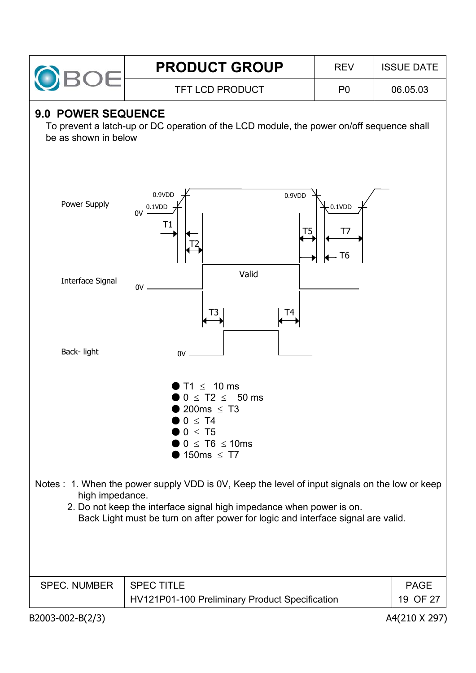|  | <b>PRODUCT GROUP</b>   | <b>RFV</b> | <b>ISSUE DATE</b> |  |
|--|------------------------|------------|-------------------|--|
|  | <b>TFT LCD PRODUCT</b> | P0         | 06.05.03          |  |

### **9.0 POWER SEQUENCE**

To prevent a latch-up or DC operation of the LCD module, the power on/off sequence shall be as shown in below



| <b>SPEC. NUMBER</b> | SPEC TITLE                                     | PAGE     |
|---------------------|------------------------------------------------|----------|
|                     | HV121P01-100 Preliminary Product Specification | 19 OF 27 |
|                     |                                                |          |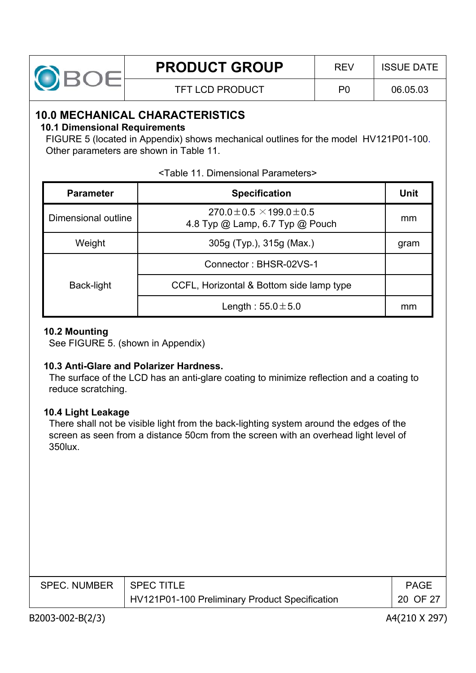

# **10.0 MECHANICAL CHARACTERISTICS**

#### **10.1 Dimensional Requirements**

FIGURE 5 (located in Appendix) shows mechanical outlines for the model HV121P01-100. Other parameters are shown in Table 11.

| <b>Parameter</b>    | <b>Specification</b>                                                    | Unit |
|---------------------|-------------------------------------------------------------------------|------|
| Dimensional outline | $270.0 \pm 0.5 \times 199.0 \pm 0.5$<br>4.8 Typ @ Lamp, 6.7 Typ @ Pouch | mm   |
| Weight              | 305g (Typ.), 315g (Max.)                                                |      |
| Back-light          | Connector: BHSR-02VS-1                                                  |      |
|                     | CCFL, Horizontal & Bottom side lamp type                                |      |
|                     | Length: $55.0 \pm 5.0$                                                  | mm   |

#### <Table 11. Dimensional Parameters>

#### **10.2 Mounting**

See FIGURE 5. (shown in Appendix)

#### **10.3 Anti-Glare and Polarizer Hardness.**

The surface of the LCD has an anti-glare coating to minimize reflection and a coating to reduce scratching.

#### **10.4 Light Leakage**

There shall not be visible light from the back-lighting system around the edges of the screen as seen from a distance 50cm from the screen with an overhead light level of 350lux.

| SPEC. NUMBER | <b>SPECTITLE</b>                               | <b>PAGE</b> |
|--------------|------------------------------------------------|-------------|
|              | HV121P01-100 Preliminary Product Specification | 20 OF 27    |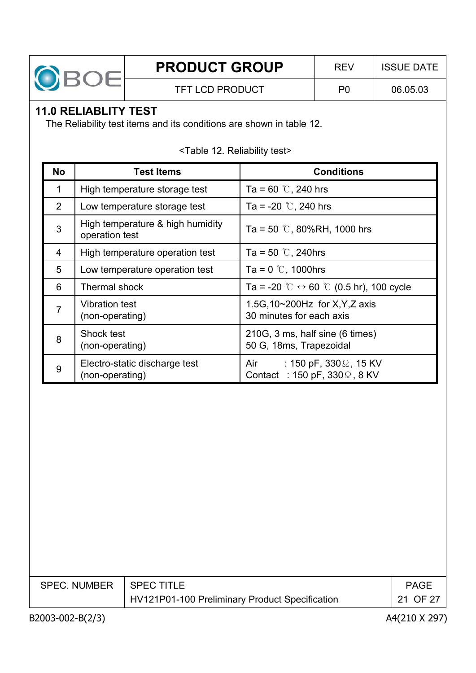

# **11.0 RELIABLITY TEST**

The Reliability test items and its conditions are shown in table 12.

|  |  |  | <table 12.="" reliability="" test=""></table> |  |
|--|--|--|-----------------------------------------------|--|
|--|--|--|-----------------------------------------------|--|

| <b>No</b>      | <b>Test Items</b>                                  | <b>Conditions</b>                                                                  |
|----------------|----------------------------------------------------|------------------------------------------------------------------------------------|
| 1              | High temperature storage test                      | Ta = 60 $\degree$ C, 240 hrs                                                       |
| 2              | Low temperature storage test                       | Ta = -20 $\degree$ C, 240 hrs                                                      |
| 3              | High temperature & high humidity<br>operation test | Ta = 50 $\degree$ C, 80%RH, 1000 hrs                                               |
| 4              | High temperature operation test                    | Ta = 50 $\degree$ C, 240hrs                                                        |
| 5              | Low temperature operation test                     | Ta = $0^{\circ}$ , 1000hrs                                                         |
| 6              | Thermal shock                                      | Ta = -20 $\degree$ C $\leftrightarrow$ 60 $\degree$ C (0.5 hr), 100 cycle          |
| $\overline{7}$ | <b>Vibration test</b><br>(non-operating)           | 1.5G, 10~200Hz for X, Y, Z axis<br>30 minutes for each axis                        |
| 8              | Shock test<br>(non-operating)                      | 210G, 3 ms, half sine (6 times)<br>50 G, 18ms, Trapezoidal                         |
| 9              | Electro-static discharge test<br>(non-operating)   | $\div$ 150 pF, 330 $\Omega$ , 15 KV<br>Air<br>Contact : 150 pF, $330\Omega$ , 8 KV |

| SPEC. NUMBER   SPEC TITLE |                                                | <b>PAGE</b> |
|---------------------------|------------------------------------------------|-------------|
|                           | HV121P01-100 Preliminary Product Specification | 21 OF 27    |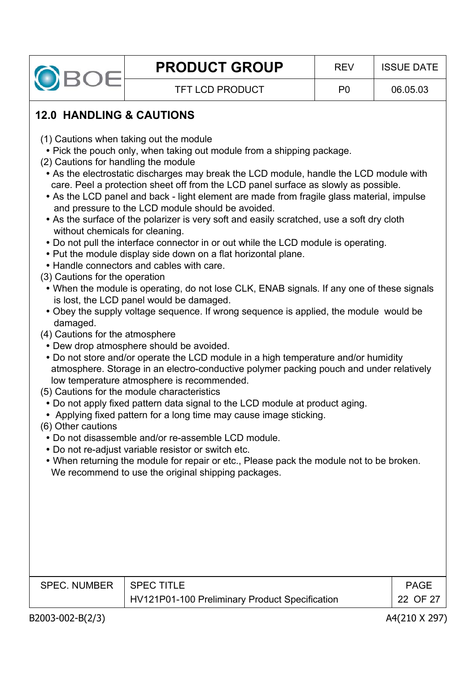

# **12.0 HANDLING & CAUTIONS**

- (1) Cautions when taking out the module
	- Pick the pouch only, when taking out module from a shipping package.
- (2) Cautions for handling the module
	- As the electrostatic discharges may break the LCD module, handle the LCD module with care. Peel a protection sheet off from the LCD panel surface as slowly as possible.
	- As the LCD panel and back light element are made from fragile glass material, impulse and pressure to the LCD module should be avoided.
	- As the surface of the polarizer is very soft and easily scratched, use a soft dry cloth without chemicals for cleaning.
	- Do not pull the interface connector in or out while the LCD module is operating.
	- Put the module display side down on a flat horizontal plane.
	- Handle connectors and cables with care.
- (3) Cautions for the operation
	- When the module is operating, do not lose CLK, ENAB signals. If any one of these signals is lost, the LCD panel would be damaged.
	- Obey the supply voltage sequence. If wrong sequence is applied, the module would be damaged.
- (4) Cautions for the atmosphere
	- Dew drop atmosphere should be avoided.
	- Do not store and/or operate the LCD module in a high temperature and/or humidity atmosphere. Storage in an electro-conductive polymer packing pouch and under relatively low temperature atmosphere is recommended.
- (5) Cautions for the module characteristics
	- Do not apply fixed pattern data signal to the LCD module at product aging.
	- Applying fixed pattern for a long time may cause image sticking.
- (6) Other cautions
	- Do not disassemble and/or re-assemble LCD module.
	- Do not re-adjust variable resistor or switch etc.
	- When returning the module for repair or etc., Please pack the module not to be broken. We recommend to use the original shipping packages.

| SPEC. NUMBER   SPEC TITLE |                                                | PAGF     |
|---------------------------|------------------------------------------------|----------|
|                           | HV121P01-100 Preliminary Product Specification | 22 OF 27 |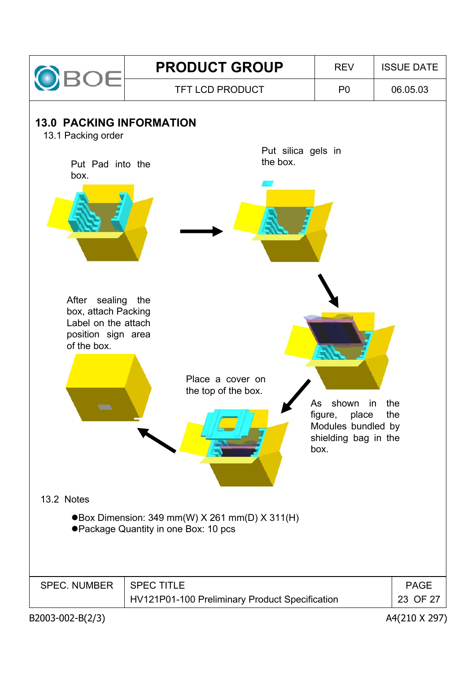

**13.0 PACKING INFORMATION**

13.1 Packing order

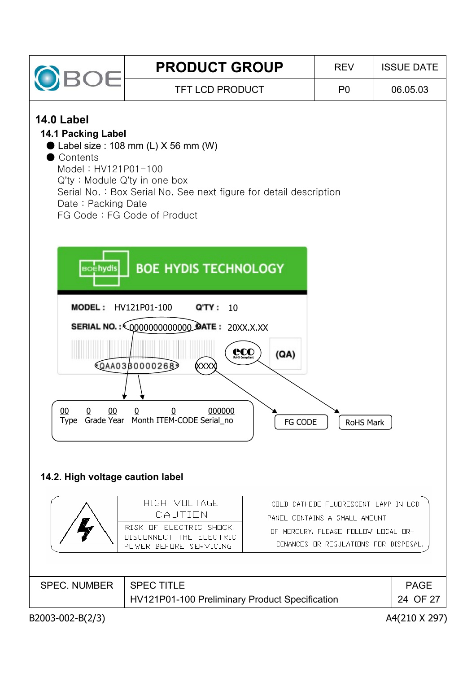| ЭĒ                                                                                                                                            | <b>PRODUCT GROUP</b>                                                                                                                              | <b>REV</b>     | <b>ISSUE DATE</b> |
|-----------------------------------------------------------------------------------------------------------------------------------------------|---------------------------------------------------------------------------------------------------------------------------------------------------|----------------|-------------------|
|                                                                                                                                               | <b>TFT LCD PRODUCT</b>                                                                                                                            | P <sub>0</sub> | 06.05.03          |
| <b>14.0 Label</b><br><b>14.1 Packing Label</b><br>Contents<br>Model: HV121P01-100<br>$Q'$ ty: Module $Q'$ ty in one box<br>Date: Packing Date | $\bullet$ Label size : 108 mm (L) X 56 mm (W)<br>Serial No.: Box Serial No. See next figure for detail description<br>FG Code: FG Code of Product |                |                   |
| <b>BOEhydis</b><br><b>MODEL: HV121P01-100</b>                                                                                                 | <b>BOE HYDIS TECHNOLOGY</b><br>Q'TY:<br>10                                                                                                        |                |                   |
| $00\,$<br>$00\,$<br>0                                                                                                                         | <b>CCO</b><br>(QA)<br>+QAA0330000268<br><b>(хххх</b><br>000000<br>$\pmb{0}$<br>0<br>Type Grade Year Month ITEM-CODE Serial_no<br>FG CODE          | RoHS Mark      |                   |
|                                                                                                                                               |                                                                                                                                                   |                |                   |

# **14.2. High voltage caution label**

|                     | HIGH VOLTAGE<br>CAUTION<br>RISK OF ELECTRIC SHOCK.<br>DISCONNECT THE ELECTRIC<br>POWER BEFORE SERVICING | COLD CATHODE FLUDRESCENT LAMP IN LCD<br>PANEL CONTAINS A SMALL AMOUNT<br>OF MERCURY, PLEASE FOLLOW LOCAL OR-<br>DINANCES OR REGULATIONS FOR DISPOSAL. |                         |
|---------------------|---------------------------------------------------------------------------------------------------------|-------------------------------------------------------------------------------------------------------------------------------------------------------|-------------------------|
| <b>SPEC. NUMBER</b> | <b>SPEC TITLE</b><br>HV121P01-100 Preliminary Product Specification                                     |                                                                                                                                                       | <b>PAGE</b><br>24 OF 27 |

B2003-002-B(2/3) A4(210 X 297)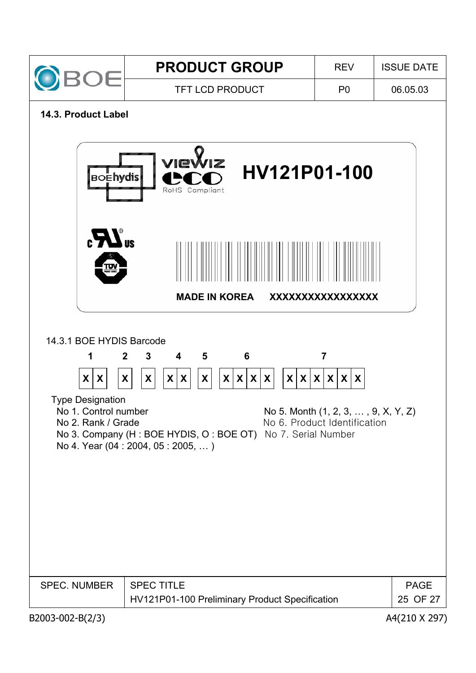

#### **14.3. Product Label**

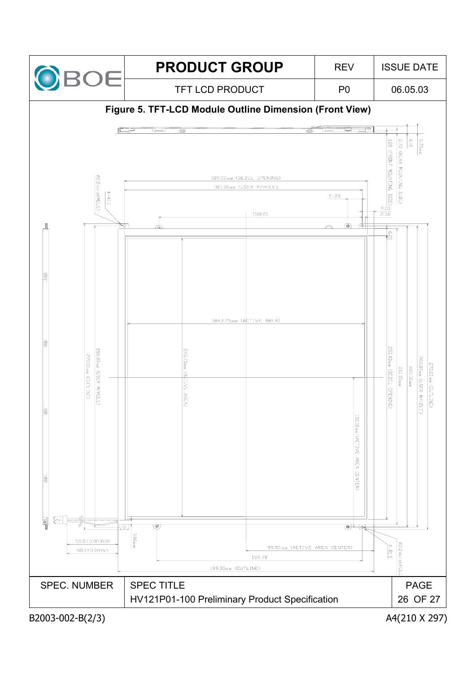